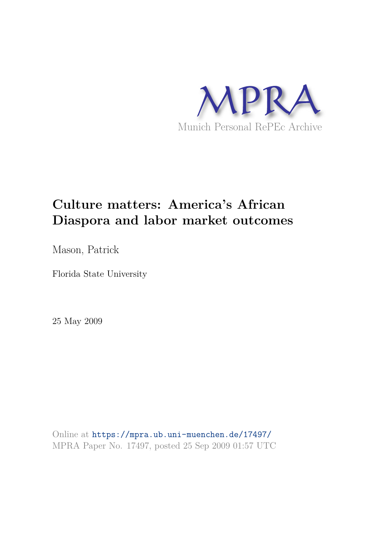

# **Culture matters: America's African Diaspora and labor market outcomes**

Mason, Patrick

Florida State University

25 May 2009

Online at https://mpra.ub.uni-muenchen.de/17497/ MPRA Paper No. 17497, posted 25 Sep 2009 01:57 UTC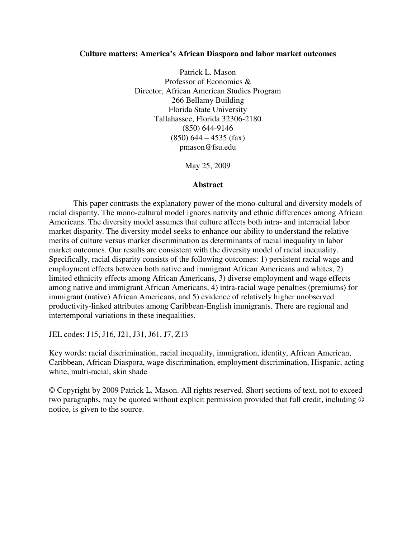### **Culture matters: America's African Diaspora and labor market outcomes**

Patrick L. Mason Professor of Economics & Director, African American Studies Program 266 Bellamy Building Florida State University Tallahassee, Florida 32306-2180 (850) 644-9146  $(850)$  644 – 4535 (fax) pmason@fsu.edu

May 25, 2009

# **Abstract**

 This paper contrasts the explanatory power of the mono-cultural and diversity models of racial disparity. The mono-cultural model ignores nativity and ethnic differences among African Americans. The diversity model assumes that culture affects both intra- and interracial labor market disparity. The diversity model seeks to enhance our ability to understand the relative merits of culture versus market discrimination as determinants of racial inequality in labor market outcomes. Our results are consistent with the diversity model of racial inequality. Specifically, racial disparity consists of the following outcomes: 1) persistent racial wage and employment effects between both native and immigrant African Americans and whites, 2) limited ethnicity effects among African Americans, 3) diverse employment and wage effects among native and immigrant African Americans, 4) intra-racial wage penalties (premiums) for immigrant (native) African Americans, and 5) evidence of relatively higher unobserved productivity-linked attributes among Caribbean-English immigrants. There are regional and intertemporal variations in these inequalities.

JEL codes: J15, J16, J21, J31, J61, J7, Z13

Key words: racial discrimination, racial inequality, immigration, identity, African American, Caribbean, African Diaspora, wage discrimination, employment discrimination, Hispanic, acting white, multi-racial, skin shade

© Copyright by 2009 Patrick L. Mason. All rights reserved. Short sections of text, not to exceed two paragraphs, may be quoted without explicit permission provided that full credit, including © notice, is given to the source.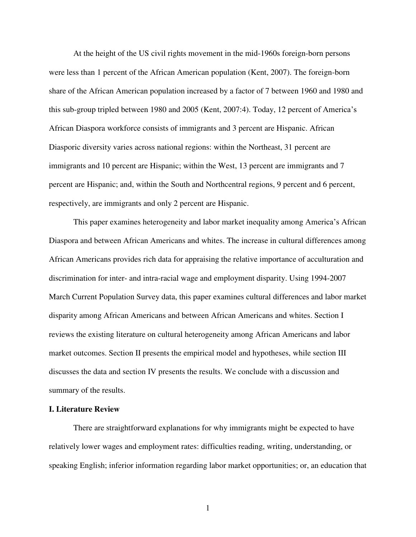At the height of the US civil rights movement in the mid-1960s foreign-born persons were less than 1 percent of the African American population (Kent, 2007). The foreign-born share of the African American population increased by a factor of 7 between 1960 and 1980 and this sub-group tripled between 1980 and 2005 (Kent, 2007:4). Today, 12 percent of America's African Diaspora workforce consists of immigrants and 3 percent are Hispanic. African Diasporic diversity varies across national regions: within the Northeast, 31 percent are immigrants and 10 percent are Hispanic; within the West, 13 percent are immigrants and 7 percent are Hispanic; and, within the South and Northcentral regions, 9 percent and 6 percent, respectively, are immigrants and only 2 percent are Hispanic.

 This paper examines heterogeneity and labor market inequality among America's African Diaspora and between African Americans and whites. The increase in cultural differences among African Americans provides rich data for appraising the relative importance of acculturation and discrimination for inter- and intra-racial wage and employment disparity. Using 1994-2007 March Current Population Survey data, this paper examines cultural differences and labor market disparity among African Americans and between African Americans and whites. Section I reviews the existing literature on cultural heterogeneity among African Americans and labor market outcomes. Section II presents the empirical model and hypotheses, while section III discusses the data and section IV presents the results. We conclude with a discussion and summary of the results.

# **I. Literature Review**

 There are straightforward explanations for why immigrants might be expected to have relatively lower wages and employment rates: difficulties reading, writing, understanding, or speaking English; inferior information regarding labor market opportunities; or, an education that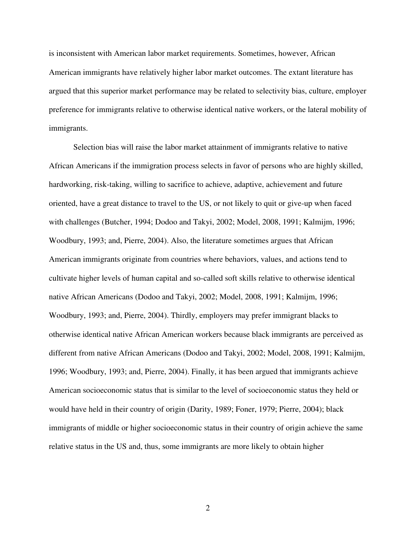is inconsistent with American labor market requirements. Sometimes, however, African American immigrants have relatively higher labor market outcomes. The extant literature has argued that this superior market performance may be related to selectivity bias, culture, employer preference for immigrants relative to otherwise identical native workers, or the lateral mobility of immigrants.

Selection bias will raise the labor market attainment of immigrants relative to native African Americans if the immigration process selects in favor of persons who are highly skilled, hardworking, risk-taking, willing to sacrifice to achieve, adaptive, achievement and future oriented, have a great distance to travel to the US, or not likely to quit or give-up when faced with challenges (Butcher, 1994; Dodoo and Takyi, 2002; Model, 2008, 1991; Kalmijm, 1996; Woodbury, 1993; and, Pierre, 2004). Also, the literature sometimes argues that African American immigrants originate from countries where behaviors, values, and actions tend to cultivate higher levels of human capital and so-called soft skills relative to otherwise identical native African Americans (Dodoo and Takyi, 2002; Model, 2008, 1991; Kalmijm, 1996; Woodbury, 1993; and, Pierre, 2004). Thirdly, employers may prefer immigrant blacks to otherwise identical native African American workers because black immigrants are perceived as different from native African Americans (Dodoo and Takyi, 2002; Model, 2008, 1991; Kalmijm, 1996; Woodbury, 1993; and, Pierre, 2004). Finally, it has been argued that immigrants achieve American socioeconomic status that is similar to the level of socioeconomic status they held or would have held in their country of origin (Darity, 1989; Foner, 1979; Pierre, 2004); black immigrants of middle or higher socioeconomic status in their country of origin achieve the same relative status in the US and, thus, some immigrants are more likely to obtain higher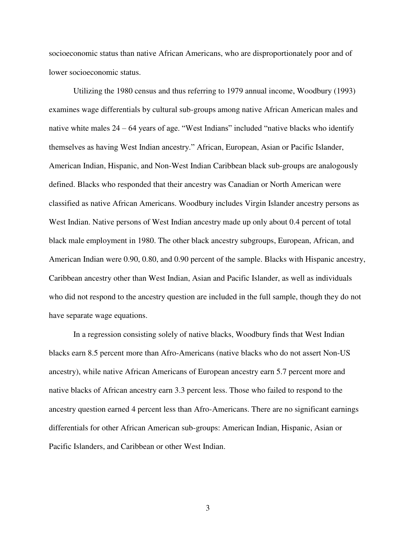socioeconomic status than native African Americans, who are disproportionately poor and of lower socioeconomic status.

 Utilizing the 1980 census and thus referring to 1979 annual income, Woodbury (1993) examines wage differentials by cultural sub-groups among native African American males and native white males 24 – 64 years of age. "West Indians" included "native blacks who identify themselves as having West Indian ancestry." African, European, Asian or Pacific Islander, American Indian, Hispanic, and Non-West Indian Caribbean black sub-groups are analogously defined. Blacks who responded that their ancestry was Canadian or North American were classified as native African Americans. Woodbury includes Virgin Islander ancestry persons as West Indian. Native persons of West Indian ancestry made up only about 0.4 percent of total black male employment in 1980. The other black ancestry subgroups, European, African, and American Indian were 0.90, 0.80, and 0.90 percent of the sample. Blacks with Hispanic ancestry, Caribbean ancestry other than West Indian, Asian and Pacific Islander, as well as individuals who did not respond to the ancestry question are included in the full sample, though they do not have separate wage equations.

In a regression consisting solely of native blacks, Woodbury finds that West Indian blacks earn 8.5 percent more than Afro-Americans (native blacks who do not assert Non-US ancestry), while native African Americans of European ancestry earn 5.7 percent more and native blacks of African ancestry earn 3.3 percent less. Those who failed to respond to the ancestry question earned 4 percent less than Afro-Americans. There are no significant earnings differentials for other African American sub-groups: American Indian, Hispanic, Asian or Pacific Islanders, and Caribbean or other West Indian.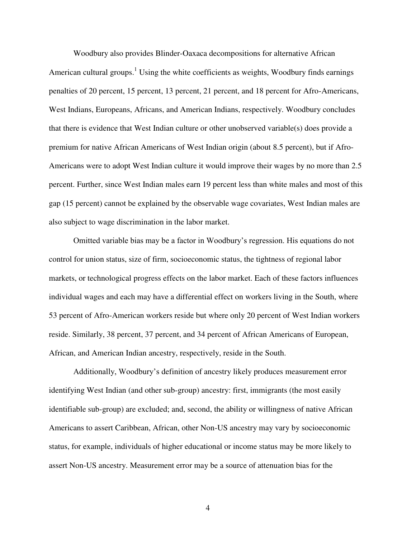Woodbury also provides Blinder-Oaxaca decompositions for alternative African American cultural groups.<sup>1</sup> Using the white coefficients as weights, Woodbury finds earnings penalties of 20 percent, 15 percent, 13 percent, 21 percent, and 18 percent for Afro-Americans, West Indians, Europeans, Africans, and American Indians, respectively. Woodbury concludes that there is evidence that West Indian culture or other unobserved variable(s) does provide a premium for native African Americans of West Indian origin (about 8.5 percent), but if Afro-Americans were to adopt West Indian culture it would improve their wages by no more than 2.5 percent. Further, since West Indian males earn 19 percent less than white males and most of this gap (15 percent) cannot be explained by the observable wage covariates, West Indian males are also subject to wage discrimination in the labor market.

Omitted variable bias may be a factor in Woodbury's regression. His equations do not control for union status, size of firm, socioeconomic status, the tightness of regional labor markets, or technological progress effects on the labor market. Each of these factors influences individual wages and each may have a differential effect on workers living in the South, where 53 percent of Afro-American workers reside but where only 20 percent of West Indian workers reside. Similarly, 38 percent, 37 percent, and 34 percent of African Americans of European, African, and American Indian ancestry, respectively, reside in the South.

Additionally, Woodbury's definition of ancestry likely produces measurement error identifying West Indian (and other sub-group) ancestry: first, immigrants (the most easily identifiable sub-group) are excluded; and, second, the ability or willingness of native African Americans to assert Caribbean, African, other Non-US ancestry may vary by socioeconomic status, for example, individuals of higher educational or income status may be more likely to assert Non-US ancestry. Measurement error may be a source of attenuation bias for the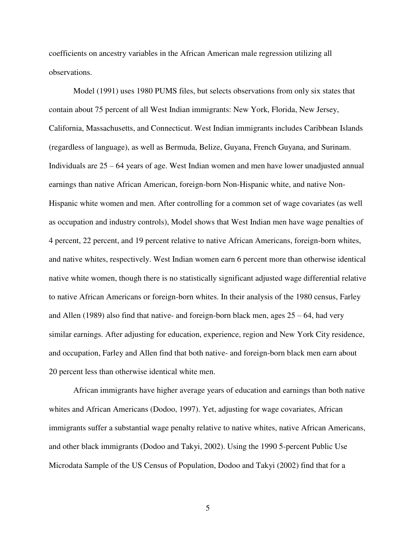coefficients on ancestry variables in the African American male regression utilizing all observations.

Model (1991) uses 1980 PUMS files, but selects observations from only six states that contain about 75 percent of all West Indian immigrants: New York, Florida, New Jersey, California, Massachusetts, and Connecticut. West Indian immigrants includes Caribbean Islands (regardless of language), as well as Bermuda, Belize, Guyana, French Guyana, and Surinam. Individuals are 25 – 64 years of age. West Indian women and men have lower unadjusted annual earnings than native African American, foreign-born Non-Hispanic white, and native Non-Hispanic white women and men. After controlling for a common set of wage covariates (as well as occupation and industry controls), Model shows that West Indian men have wage penalties of 4 percent, 22 percent, and 19 percent relative to native African Americans, foreign-born whites, and native whites, respectively. West Indian women earn 6 percent more than otherwise identical native white women, though there is no statistically significant adjusted wage differential relative to native African Americans or foreign-born whites. In their analysis of the 1980 census, Farley and Allen (1989) also find that native- and foreign-born black men, ages  $25 - 64$ , had very similar earnings. After adjusting for education, experience, region and New York City residence, and occupation, Farley and Allen find that both native- and foreign-born black men earn about 20 percent less than otherwise identical white men.

African immigrants have higher average years of education and earnings than both native whites and African Americans (Dodoo, 1997). Yet, adjusting for wage covariates, African immigrants suffer a substantial wage penalty relative to native whites, native African Americans, and other black immigrants (Dodoo and Takyi, 2002). Using the 1990 5-percent Public Use Microdata Sample of the US Census of Population, Dodoo and Takyi (2002) find that for a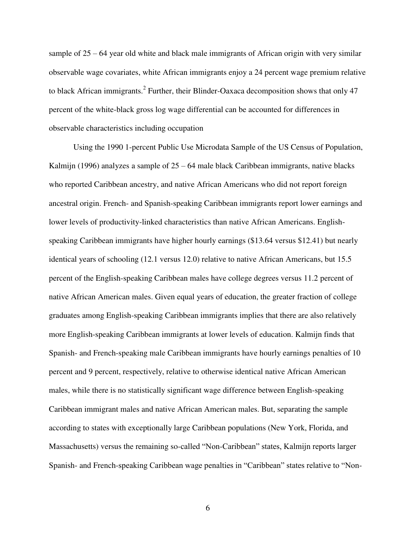sample of  $25 - 64$  year old white and black male immigrants of African origin with very similar observable wage covariates, white African immigrants enjoy a 24 percent wage premium relative to black African immigrants.<sup>2</sup> Further, their Blinder-Oaxaca decomposition shows that only 47 percent of the white-black gross log wage differential can be accounted for differences in observable characteristics including occupation

Using the 1990 1-percent Public Use Microdata Sample of the US Census of Population, Kalmijn (1996) analyzes a sample of  $25 - 64$  male black Caribbean immigrants, native blacks who reported Caribbean ancestry, and native African Americans who did not report foreign ancestral origin. French- and Spanish-speaking Caribbean immigrants report lower earnings and lower levels of productivity-linked characteristics than native African Americans. Englishspeaking Caribbean immigrants have higher hourly earnings (\$13.64 versus \$12.41) but nearly identical years of schooling (12.1 versus 12.0) relative to native African Americans, but 15.5 percent of the English-speaking Caribbean males have college degrees versus 11.2 percent of native African American males. Given equal years of education, the greater fraction of college graduates among English-speaking Caribbean immigrants implies that there are also relatively more English-speaking Caribbean immigrants at lower levels of education. Kalmijn finds that Spanish- and French-speaking male Caribbean immigrants have hourly earnings penalties of 10 percent and 9 percent, respectively, relative to otherwise identical native African American males, while there is no statistically significant wage difference between English-speaking Caribbean immigrant males and native African American males. But, separating the sample according to states with exceptionally large Caribbean populations (New York, Florida, and Massachusetts) versus the remaining so-called "Non-Caribbean" states, Kalmijn reports larger Spanish- and French-speaking Caribbean wage penalties in "Caribbean" states relative to "Non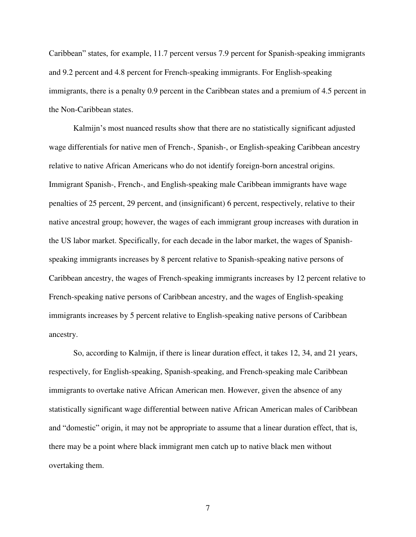Caribbean" states, for example, 11.7 percent versus 7.9 percent for Spanish-speaking immigrants and 9.2 percent and 4.8 percent for French-speaking immigrants. For English-speaking immigrants, there is a penalty 0.9 percent in the Caribbean states and a premium of 4.5 percent in the Non-Caribbean states.

Kalmijn's most nuanced results show that there are no statistically significant adjusted wage differentials for native men of French-, Spanish-, or English-speaking Caribbean ancestry relative to native African Americans who do not identify foreign-born ancestral origins. Immigrant Spanish-, French-, and English-speaking male Caribbean immigrants have wage penalties of 25 percent, 29 percent, and (insignificant) 6 percent, respectively, relative to their native ancestral group; however, the wages of each immigrant group increases with duration in the US labor market. Specifically, for each decade in the labor market, the wages of Spanishspeaking immigrants increases by 8 percent relative to Spanish-speaking native persons of Caribbean ancestry, the wages of French-speaking immigrants increases by 12 percent relative to French-speaking native persons of Caribbean ancestry, and the wages of English-speaking immigrants increases by 5 percent relative to English-speaking native persons of Caribbean ancestry.

So, according to Kalmijn, if there is linear duration effect, it takes 12, 34, and 21 years, respectively, for English-speaking, Spanish-speaking, and French-speaking male Caribbean immigrants to overtake native African American men. However, given the absence of any statistically significant wage differential between native African American males of Caribbean and "domestic" origin, it may not be appropriate to assume that a linear duration effect, that is, there may be a point where black immigrant men catch up to native black men without overtaking them.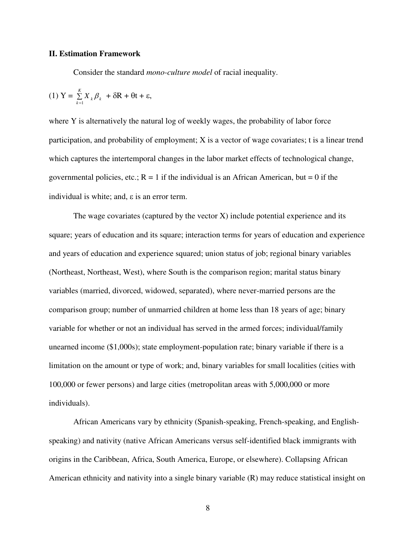#### **II. Estimation Framework**

Consider the standard *mono-culture model* of racial inequality.

(1) 
$$
Y = \sum_{k=1}^{K} X_k \beta_k + \delta R + \theta t + \varepsilon,
$$

where Y is alternatively the natural log of weekly wages, the probability of labor force participation, and probability of employment; X is a vector of wage covariates; t is a linear trend which captures the intertemporal changes in the labor market effects of technological change, governmental policies, etc.;  $R = 1$  if the individual is an African American, but = 0 if the individual is white; and,  $\varepsilon$  is an error term.

The wage covariates (captured by the vector  $X$ ) include potential experience and its square; years of education and its square; interaction terms for years of education and experience and years of education and experience squared; union status of job; regional binary variables (Northeast, Northeast, West), where South is the comparison region; marital status binary variables (married, divorced, widowed, separated), where never-married persons are the comparison group; number of unmarried children at home less than 18 years of age; binary variable for whether or not an individual has served in the armed forces; individual/family unearned income (\$1,000s); state employment-population rate; binary variable if there is a limitation on the amount or type of work; and, binary variables for small localities (cities with 100,000 or fewer persons) and large cities (metropolitan areas with 5,000,000 or more individuals).

African Americans vary by ethnicity (Spanish-speaking, French-speaking, and Englishspeaking) and nativity (native African Americans versus self-identified black immigrants with origins in the Caribbean, Africa, South America, Europe, or elsewhere). Collapsing African American ethnicity and nativity into a single binary variable (R) may reduce statistical insight on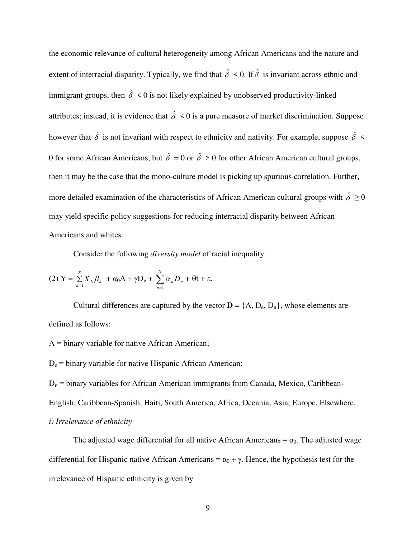the economic relevance of cultural heterogeneity among African Americans and the nature and extent of interracial disparity. Typically, we find that  $\hat{\delta} < 0$ . If  $\hat{\delta}$  is invariant across ethnic and immigrant groups, then  $\hat{\delta} \leq 0$  is not likely explained by unobserved productivity-linked attributes; instead, it is evidence that  $\hat{\delta} < 0$  is a pure measure of market discrimination. Suppose however that  $\hat{\delta}$  is not invariant with respect to ethnicity and nativity. For example, suppose  $\hat{\delta}$  < 0 for some African Americans, but  $\hat{\delta} = 0$  or  $\hat{\delta} > 0$  for other African American cultural groups, then it may be the case that the mono-culture model is picking up spurious correlation. Further, more detailed examination of the characteristics of African American cultural groups with  $\hat{\delta} \ge 0$ may yield specific policy suggestions for reducing interracial disparity between African Americans and whites.

Consider the following *diversity model* of racial inequality.

(2) 
$$
Y = \sum_{k=1}^{K} X_k \beta_k + \alpha_0 A + \gamma D_e + \sum_{n=1}^{N} \alpha_n D_n + \theta t + \varepsilon.
$$

Cultural differences are captured by the vector  $\mathbf{D} = \{A, D_e, D_n\}$ , whose elements are defined as follows:

 $A = binary variable for native African American;$ 

 $D_e \equiv$  binary variable for native Hispanic African American;

 $D_n$   $\equiv$  binary variables for African American immigrants from Canada, Mexico, Caribbean-

English, Caribbean-Spanish, Haiti, South America, Africa, Oceania, Asia, Europe, Elsewhere.

# *i) Irrelevance of ethnicity*

The adjusted wage differential for all native African Americans =  $\alpha_0$ . The adjusted wage differential for Hispanic native African Americans =  $\alpha_0 + \gamma$ . Hence, the hypothesis test for the irrelevance of Hispanic ethnicity is given by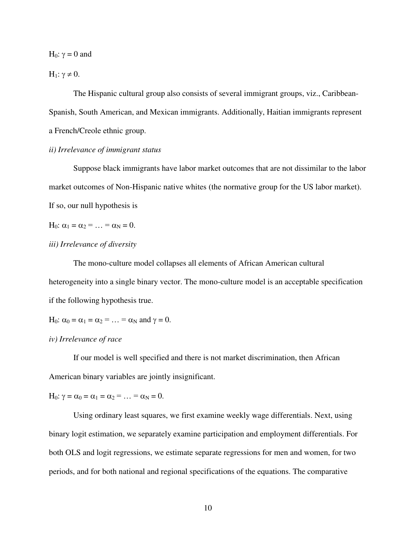H<sub>0</sub>:  $\gamma = 0$  and

 $H_1: \gamma \neq 0.$ 

 The Hispanic cultural group also consists of several immigrant groups, viz., Caribbean-Spanish, South American, and Mexican immigrants. Additionally, Haitian immigrants represent a French/Creole ethnic group.

# *ii) Irrelevance of immigrant status*

 Suppose black immigrants have labor market outcomes that are not dissimilar to the labor market outcomes of Non-Hispanic native whites (the normative group for the US labor market). If so, our null hypothesis is

H<sub>0</sub>:  $\alpha_1 = \alpha_2 = \ldots = \alpha_N = 0$ .

# *iii) Irrelevance of diversity*

 The mono-culture model collapses all elements of African American cultural heterogeneity into a single binary vector. The mono-culture model is an acceptable specification if the following hypothesis true.

H<sub>0</sub>:  $\alpha_0 = \alpha_1 = \alpha_2 = \ldots = \alpha_N$  and  $\gamma = 0$ .

# *iv) Irrelevance of race*

 If our model is well specified and there is not market discrimination, then African American binary variables are jointly insignificant.

H<sub>0</sub>:  $\gamma = \alpha_0 = \alpha_1 = \alpha_2 = \ldots = \alpha_N = 0$ .

 Using ordinary least squares, we first examine weekly wage differentials. Next, using binary logit estimation, we separately examine participation and employment differentials. For both OLS and logit regressions, we estimate separate regressions for men and women, for two periods, and for both national and regional specifications of the equations. The comparative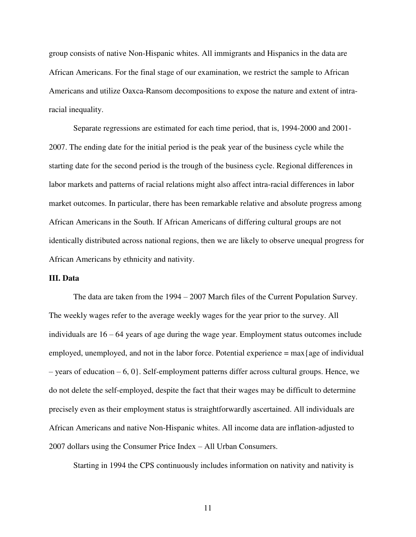group consists of native Non-Hispanic whites. All immigrants and Hispanics in the data are African Americans. For the final stage of our examination, we restrict the sample to African Americans and utilize Oaxca-Ransom decompositions to expose the nature and extent of intraracial inequality.

 Separate regressions are estimated for each time period, that is, 1994-2000 and 2001- 2007. The ending date for the initial period is the peak year of the business cycle while the starting date for the second period is the trough of the business cycle. Regional differences in labor markets and patterns of racial relations might also affect intra-racial differences in labor market outcomes. In particular, there has been remarkable relative and absolute progress among African Americans in the South. If African Americans of differing cultural groups are not identically distributed across national regions, then we are likely to observe unequal progress for African Americans by ethnicity and nativity.

# **III. Data**

The data are taken from the 1994 – 2007 March files of the Current Population Survey. The weekly wages refer to the average weekly wages for the year prior to the survey. All individuals are 16 – 64 years of age during the wage year. Employment status outcomes include employed, unemployed, and not in the labor force. Potential experience  $= max$  {age of individual – years of education – 6, 0}. Self-employment patterns differ across cultural groups. Hence, we do not delete the self-employed, despite the fact that their wages may be difficult to determine precisely even as their employment status is straightforwardly ascertained. All individuals are African Americans and native Non-Hispanic whites. All income data are inflation-adjusted to 2007 dollars using the Consumer Price Index – All Urban Consumers.

Starting in 1994 the CPS continuously includes information on nativity and nativity is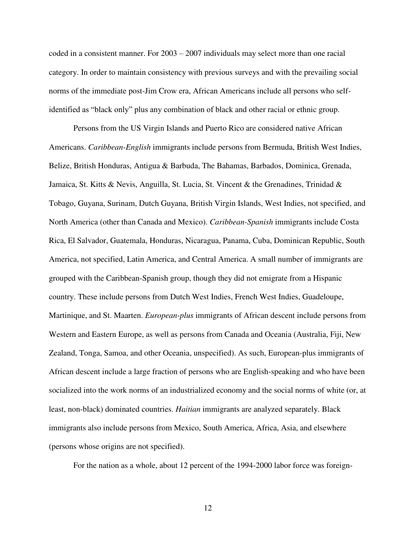coded in a consistent manner. For 2003 – 2007 individuals may select more than one racial category. In order to maintain consistency with previous surveys and with the prevailing social norms of the immediate post-Jim Crow era, African Americans include all persons who selfidentified as "black only" plus any combination of black and other racial or ethnic group.

 Persons from the US Virgin Islands and Puerto Rico are considered native African Americans. *Caribbean-English* immigrants include persons from Bermuda, British West Indies, Belize, British Honduras, Antigua & Barbuda, The Bahamas, Barbados, Dominica, Grenada, Jamaica, St. Kitts & Nevis, Anguilla, St. Lucia, St. Vincent & the Grenadines, Trinidad & Tobago, Guyana, Surinam, Dutch Guyana, British Virgin Islands, West Indies, not specified, and North America (other than Canada and Mexico). *Caribbean-Spanish* immigrants include Costa Rica, El Salvador, Guatemala, Honduras, Nicaragua, Panama, Cuba, Dominican Republic, South America, not specified, Latin America, and Central America. A small number of immigrants are grouped with the Caribbean-Spanish group, though they did not emigrate from a Hispanic country. These include persons from Dutch West Indies, French West Indies, Guadeloupe, Martinique, and St. Maarten. *European-plus* immigrants of African descent include persons from Western and Eastern Europe, as well as persons from Canada and Oceania (Australia, Fiji, New Zealand, Tonga, Samoa, and other Oceania, unspecified). As such, European-plus immigrants of African descent include a large fraction of persons who are English-speaking and who have been socialized into the work norms of an industrialized economy and the social norms of white (or, at least, non-black) dominated countries. *Haitian* immigrants are analyzed separately. Black immigrants also include persons from Mexico, South America, Africa, Asia, and elsewhere (persons whose origins are not specified).

For the nation as a whole, about 12 percent of the 1994-2000 labor force was foreign-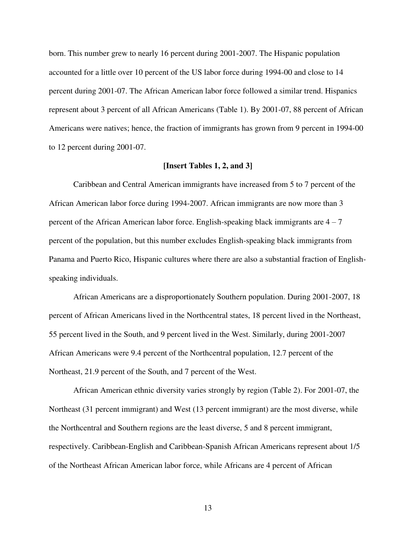born. This number grew to nearly 16 percent during 2001-2007. The Hispanic population accounted for a little over 10 percent of the US labor force during 1994-00 and close to 14 percent during 2001-07. The African American labor force followed a similar trend. Hispanics represent about 3 percent of all African Americans (Table 1). By 2001-07, 88 percent of African Americans were natives; hence, the fraction of immigrants has grown from 9 percent in 1994-00 to 12 percent during 2001-07.

# **[Insert Tables 1, 2, and 3]**

 Caribbean and Central American immigrants have increased from 5 to 7 percent of the African American labor force during 1994-2007. African immigrants are now more than 3 percent of the African American labor force. English-speaking black immigrants are  $4 - 7$ percent of the population, but this number excludes English-speaking black immigrants from Panama and Puerto Rico, Hispanic cultures where there are also a substantial fraction of Englishspeaking individuals.

 African Americans are a disproportionately Southern population. During 2001-2007, 18 percent of African Americans lived in the Northcentral states, 18 percent lived in the Northeast, 55 percent lived in the South, and 9 percent lived in the West. Similarly, during 2001-2007 African Americans were 9.4 percent of the Northcentral population, 12.7 percent of the Northeast, 21.9 percent of the South, and 7 percent of the West.

 African American ethnic diversity varies strongly by region (Table 2). For 2001-07, the Northeast (31 percent immigrant) and West (13 percent immigrant) are the most diverse, while the Northcentral and Southern regions are the least diverse, 5 and 8 percent immigrant, respectively. Caribbean-English and Caribbean-Spanish African Americans represent about 1/5 of the Northeast African American labor force, while Africans are 4 percent of African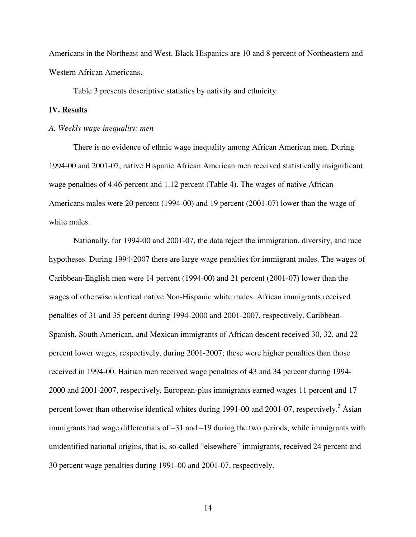Americans in the Northeast and West. Black Hispanics are 10 and 8 percent of Northeastern and Western African Americans.

Table 3 presents descriptive statistics by nativity and ethnicity.

# **IV. Results**

# *A. Weekly wage inequality: men*

 There is no evidence of ethnic wage inequality among African American men. During 1994-00 and 2001-07, native Hispanic African American men received statistically insignificant wage penalties of 4.46 percent and 1.12 percent (Table 4). The wages of native African Americans males were 20 percent (1994-00) and 19 percent (2001-07) lower than the wage of white males.

 Nationally, for 1994-00 and 2001-07, the data reject the immigration, diversity, and race hypotheses. During 1994-2007 there are large wage penalties for immigrant males. The wages of Caribbean-English men were 14 percent (1994-00) and 21 percent (2001-07) lower than the wages of otherwise identical native Non-Hispanic white males. African immigrants received penalties of 31 and 35 percent during 1994-2000 and 2001-2007, respectively. Caribbean-Spanish, South American, and Mexican immigrants of African descent received 30, 32, and 22 percent lower wages, respectively, during 2001-2007; these were higher penalties than those received in 1994-00. Haitian men received wage penalties of 43 and 34 percent during 1994- 2000 and 2001-2007, respectively. European-plus immigrants earned wages 11 percent and 17 percent lower than otherwise identical whites during 1991-00 and 2001-07, respectively.<sup>3</sup> Asian immigrants had wage differentials of –31 and –19 during the two periods, while immigrants with unidentified national origins, that is, so-called "elsewhere" immigrants, received 24 percent and 30 percent wage penalties during 1991-00 and 2001-07, respectively.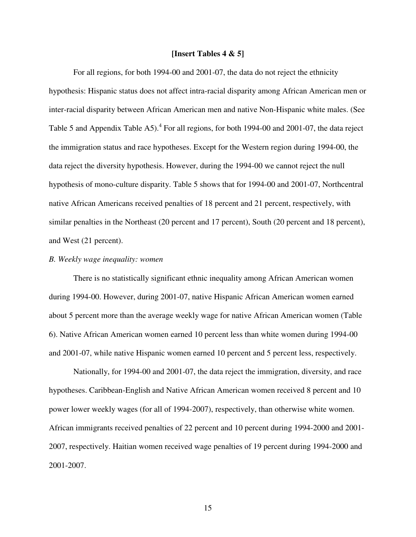# **[Insert Tables 4 & 5]**

 For all regions, for both 1994-00 and 2001-07, the data do not reject the ethnicity hypothesis: Hispanic status does not affect intra-racial disparity among African American men or inter-racial disparity between African American men and native Non-Hispanic white males. (See Table 5 and Appendix Table A5).<sup>4</sup> For all regions, for both 1994-00 and 2001-07, the data reject the immigration status and race hypotheses. Except for the Western region during 1994-00, the data reject the diversity hypothesis. However, during the 1994-00 we cannot reject the null hypothesis of mono-culture disparity. Table 5 shows that for 1994-00 and 2001-07, Northcentral native African Americans received penalties of 18 percent and 21 percent, respectively, with similar penalties in the Northeast (20 percent and 17 percent), South (20 percent and 18 percent), and West (21 percent).

#### *B. Weekly wage inequality: women*

 There is no statistically significant ethnic inequality among African American women during 1994-00. However, during 2001-07, native Hispanic African American women earned about 5 percent more than the average weekly wage for native African American women (Table 6). Native African American women earned 10 percent less than white women during 1994-00 and 2001-07, while native Hispanic women earned 10 percent and 5 percent less, respectively.

 Nationally, for 1994-00 and 2001-07, the data reject the immigration, diversity, and race hypotheses. Caribbean-English and Native African American women received 8 percent and 10 power lower weekly wages (for all of 1994-2007), respectively, than otherwise white women. African immigrants received penalties of 22 percent and 10 percent during 1994-2000 and 2001- 2007, respectively. Haitian women received wage penalties of 19 percent during 1994-2000 and 2001-2007.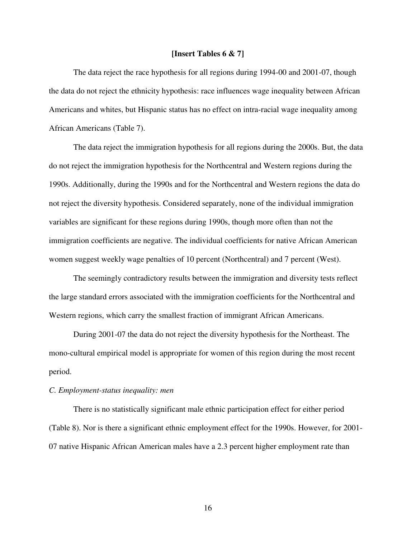# **[Insert Tables 6 & 7]**

The data reject the race hypothesis for all regions during 1994-00 and 2001-07, though the data do not reject the ethnicity hypothesis: race influences wage inequality between African Americans and whites, but Hispanic status has no effect on intra-racial wage inequality among African Americans (Table 7).

The data reject the immigration hypothesis for all regions during the 2000s. But, the data do not reject the immigration hypothesis for the Northcentral and Western regions during the 1990s. Additionally, during the 1990s and for the Northcentral and Western regions the data do not reject the diversity hypothesis. Considered separately, none of the individual immigration variables are significant for these regions during 1990s, though more often than not the immigration coefficients are negative. The individual coefficients for native African American women suggest weekly wage penalties of 10 percent (Northcentral) and 7 percent (West).

The seemingly contradictory results between the immigration and diversity tests reflect the large standard errors associated with the immigration coefficients for the Northcentral and Western regions, which carry the smallest fraction of immigrant African Americans.

During 2001-07 the data do not reject the diversity hypothesis for the Northeast. The mono-cultural empirical model is appropriate for women of this region during the most recent period.

## *C. Employment-status inequality: men*

There is no statistically significant male ethnic participation effect for either period (Table 8). Nor is there a significant ethnic employment effect for the 1990s. However, for 2001- 07 native Hispanic African American males have a 2.3 percent higher employment rate than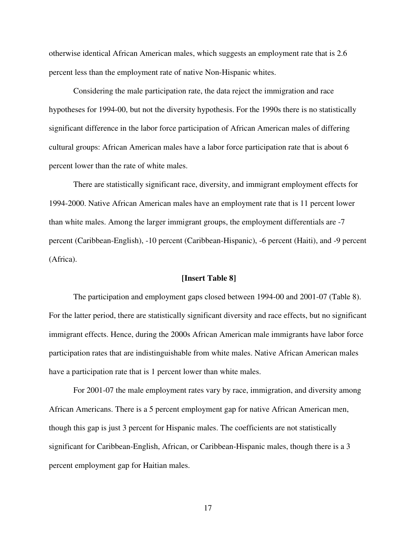otherwise identical African American males, which suggests an employment rate that is 2.6 percent less than the employment rate of native Non-Hispanic whites.

 Considering the male participation rate, the data reject the immigration and race hypotheses for 1994-00, but not the diversity hypothesis. For the 1990s there is no statistically significant difference in the labor force participation of African American males of differing cultural groups: African American males have a labor force participation rate that is about 6 percent lower than the rate of white males.

 There are statistically significant race, diversity, and immigrant employment effects for 1994-2000. Native African American males have an employment rate that is 11 percent lower than white males. Among the larger immigrant groups, the employment differentials are -7 percent (Caribbean-English), -10 percent (Caribbean-Hispanic), -6 percent (Haiti), and -9 percent (Africa).

# **[Insert Table 8]**

The participation and employment gaps closed between 1994-00 and 2001-07 (Table 8). For the latter period, there are statistically significant diversity and race effects, but no significant immigrant effects. Hence, during the 2000s African American male immigrants have labor force participation rates that are indistinguishable from white males. Native African American males have a participation rate that is 1 percent lower than white males.

For 2001-07 the male employment rates vary by race, immigration, and diversity among African Americans. There is a 5 percent employment gap for native African American men, though this gap is just 3 percent for Hispanic males. The coefficients are not statistically significant for Caribbean-English, African, or Caribbean-Hispanic males, though there is a 3 percent employment gap for Haitian males.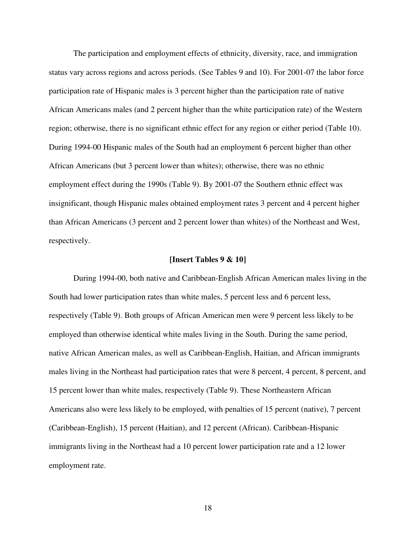The participation and employment effects of ethnicity, diversity, race, and immigration status vary across regions and across periods. (See Tables 9 and 10). For 2001-07 the labor force participation rate of Hispanic males is 3 percent higher than the participation rate of native African Americans males (and 2 percent higher than the white participation rate) of the Western region; otherwise, there is no significant ethnic effect for any region or either period (Table 10). During 1994-00 Hispanic males of the South had an employment 6 percent higher than other African Americans (but 3 percent lower than whites); otherwise, there was no ethnic employment effect during the 1990s (Table 9). By 2001-07 the Southern ethnic effect was insignificant, though Hispanic males obtained employment rates 3 percent and 4 percent higher than African Americans (3 percent and 2 percent lower than whites) of the Northeast and West, respectively.

#### **[Insert Tables 9 & 10]**

 During 1994-00, both native and Caribbean-English African American males living in the South had lower participation rates than white males, 5 percent less and 6 percent less, respectively (Table 9). Both groups of African American men were 9 percent less likely to be employed than otherwise identical white males living in the South. During the same period, native African American males, as well as Caribbean-English, Haitian, and African immigrants males living in the Northeast had participation rates that were 8 percent, 4 percent, 8 percent, and 15 percent lower than white males, respectively (Table 9). These Northeastern African Americans also were less likely to be employed, with penalties of 15 percent (native), 7 percent (Caribbean-English), 15 percent (Haitian), and 12 percent (African). Caribbean-Hispanic immigrants living in the Northeast had a 10 percent lower participation rate and a 12 lower employment rate.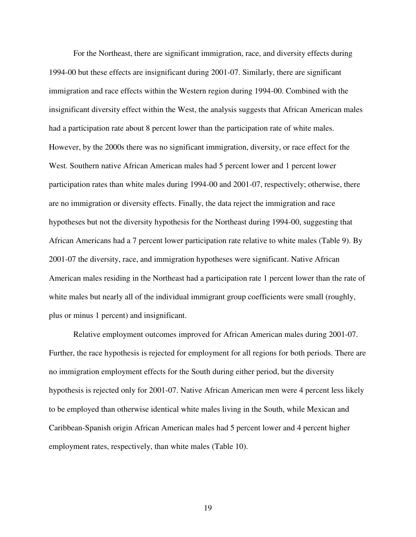For the Northeast, there are significant immigration, race, and diversity effects during 1994-00 but these effects are insignificant during 2001-07. Similarly, there are significant immigration and race effects within the Western region during 1994-00. Combined with the insignificant diversity effect within the West, the analysis suggests that African American males had a participation rate about 8 percent lower than the participation rate of white males. However, by the 2000s there was no significant immigration, diversity, or race effect for the West. Southern native African American males had 5 percent lower and 1 percent lower participation rates than white males during 1994-00 and 2001-07, respectively; otherwise, there are no immigration or diversity effects. Finally, the data reject the immigration and race hypotheses but not the diversity hypothesis for the Northeast during 1994-00, suggesting that African Americans had a 7 percent lower participation rate relative to white males (Table 9). By 2001-07 the diversity, race, and immigration hypotheses were significant. Native African American males residing in the Northeast had a participation rate 1 percent lower than the rate of white males but nearly all of the individual immigrant group coefficients were small (roughly, plus or minus 1 percent) and insignificant.

 Relative employment outcomes improved for African American males during 2001-07. Further, the race hypothesis is rejected for employment for all regions for both periods. There are no immigration employment effects for the South during either period, but the diversity hypothesis is rejected only for 2001-07. Native African American men were 4 percent less likely to be employed than otherwise identical white males living in the South, while Mexican and Caribbean-Spanish origin African American males had 5 percent lower and 4 percent higher employment rates, respectively, than white males (Table 10).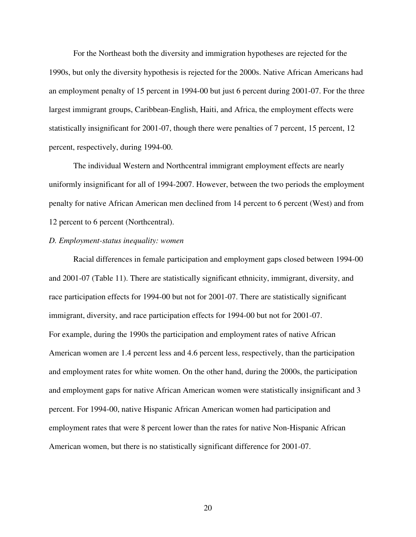For the Northeast both the diversity and immigration hypotheses are rejected for the 1990s, but only the diversity hypothesis is rejected for the 2000s. Native African Americans had an employment penalty of 15 percent in 1994-00 but just 6 percent during 2001-07. For the three largest immigrant groups, Caribbean-English, Haiti, and Africa, the employment effects were statistically insignificant for 2001-07, though there were penalties of 7 percent, 15 percent, 12 percent, respectively, during 1994-00.

The individual Western and Northcentral immigrant employment effects are nearly uniformly insignificant for all of 1994-2007. However, between the two periods the employment penalty for native African American men declined from 14 percent to 6 percent (West) and from 12 percent to 6 percent (Northcentral).

## *D. Employment-status inequality: women*

Racial differences in female participation and employment gaps closed between 1994-00 and 2001-07 (Table 11). There are statistically significant ethnicity, immigrant, diversity, and race participation effects for 1994-00 but not for 2001-07. There are statistically significant immigrant, diversity, and race participation effects for 1994-00 but not for 2001-07. For example, during the 1990s the participation and employment rates of native African American women are 1.4 percent less and 4.6 percent less, respectively, than the participation and employment rates for white women. On the other hand, during the 2000s, the participation and employment gaps for native African American women were statistically insignificant and 3 percent. For 1994-00, native Hispanic African American women had participation and employment rates that were 8 percent lower than the rates for native Non-Hispanic African American women, but there is no statistically significant difference for 2001-07.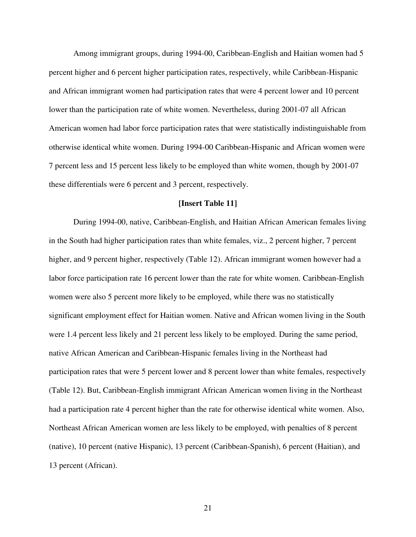Among immigrant groups, during 1994-00, Caribbean-English and Haitian women had 5 percent higher and 6 percent higher participation rates, respectively, while Caribbean-Hispanic and African immigrant women had participation rates that were 4 percent lower and 10 percent lower than the participation rate of white women. Nevertheless, during 2001-07 all African American women had labor force participation rates that were statistically indistinguishable from otherwise identical white women. During 1994-00 Caribbean-Hispanic and African women were 7 percent less and 15 percent less likely to be employed than white women, though by 2001-07 these differentials were 6 percent and 3 percent, respectively.

#### **[Insert Table 11]**

 During 1994-00, native, Caribbean-English, and Haitian African American females living in the South had higher participation rates than white females, viz., 2 percent higher, 7 percent higher, and 9 percent higher, respectively (Table 12). African immigrant women however had a labor force participation rate 16 percent lower than the rate for white women. Caribbean-English women were also 5 percent more likely to be employed, while there was no statistically significant employment effect for Haitian women. Native and African women living in the South were 1.4 percent less likely and 21 percent less likely to be employed. During the same period, native African American and Caribbean-Hispanic females living in the Northeast had participation rates that were 5 percent lower and 8 percent lower than white females, respectively (Table 12). But, Caribbean-English immigrant African American women living in the Northeast had a participation rate 4 percent higher than the rate for otherwise identical white women. Also, Northeast African American women are less likely to be employed, with penalties of 8 percent (native), 10 percent (native Hispanic), 13 percent (Caribbean-Spanish), 6 percent (Haitian), and 13 percent (African).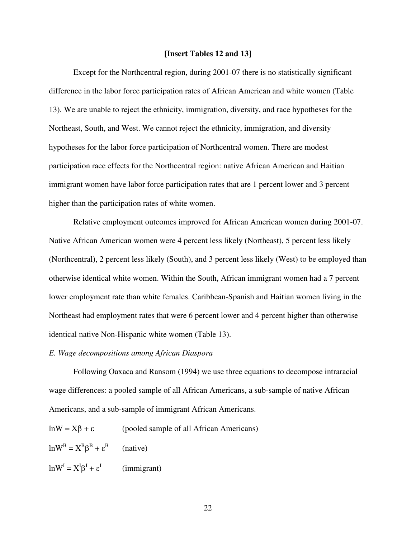# **[Insert Tables 12 and 13]**

 Except for the Northcentral region, during 2001-07 there is no statistically significant difference in the labor force participation rates of African American and white women (Table 13). We are unable to reject the ethnicity, immigration, diversity, and race hypotheses for the Northeast, South, and West. We cannot reject the ethnicity, immigration, and diversity hypotheses for the labor force participation of Northcentral women. There are modest participation race effects for the Northcentral region: native African American and Haitian immigrant women have labor force participation rates that are 1 percent lower and 3 percent higher than the participation rates of white women.

 Relative employment outcomes improved for African American women during 2001-07. Native African American women were 4 percent less likely (Northeast), 5 percent less likely (Northcentral), 2 percent less likely (South), and 3 percent less likely (West) to be employed than otherwise identical white women. Within the South, African immigrant women had a 7 percent lower employment rate than white females. Caribbean-Spanish and Haitian women living in the Northeast had employment rates that were 6 percent lower and 4 percent higher than otherwise identical native Non-Hispanic white women (Table 13).

#### *E. Wage decompositions among African Diaspora*

 Following Oaxaca and Ransom (1994) we use three equations to decompose intraracial wage differences: a pooled sample of all African Americans, a sub-sample of native African Americans, and a sub-sample of immigrant African Americans.

 $ln W = X\beta + \epsilon$  (pooled sample of all African Americans)

 $\ln W^B = X^B \beta^B + \varepsilon^B$ (native)

 $\ln W^I = X^I \beta^I + \varepsilon^I$  (immigrant)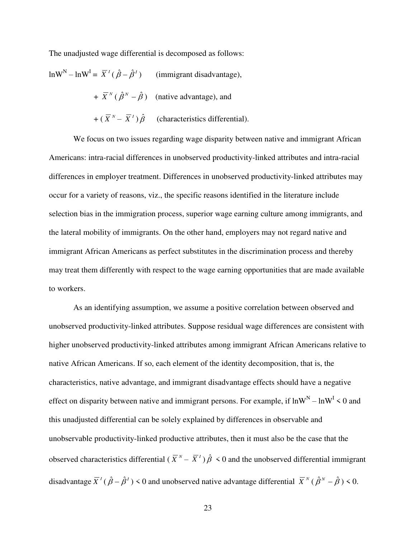The unadjusted wage differential is decomposed as follows:

 $\ln W^N - \ln W^I = \overline{X}^I(\hat{\beta} - \hat{\beta}^I)$  (immigrant disadvantage),  $+\overline{X}^N(\hat{\beta}^N-\hat{\beta})$  (native advantage), and  $+ (\overline{X}^N - \overline{X}^I) \hat{\beta}$  (characteristics differential).

 We focus on two issues regarding wage disparity between native and immigrant African Americans: intra-racial differences in unobserved productivity-linked attributes and intra-racial differences in employer treatment. Differences in unobserved productivity-linked attributes may occur for a variety of reasons, viz., the specific reasons identified in the literature include selection bias in the immigration process, superior wage earning culture among immigrants, and the lateral mobility of immigrants. On the other hand, employers may not regard native and immigrant African Americans as perfect substitutes in the discrimination process and thereby may treat them differently with respect to the wage earning opportunities that are made available to workers.

 As an identifying assumption, we assume a positive correlation between observed and unobserved productivity-linked attributes. Suppose residual wage differences are consistent with higher unobserved productivity-linked attributes among immigrant African Americans relative to native African Americans. If so, each element of the identity decomposition, that is, the characteristics, native advantage, and immigrant disadvantage effects should have a negative effect on disparity between native and immigrant persons. For example, if  $lnW^N - lnW^I < 0$  and this unadjusted differential can be solely explained by differences in observable and unobservable productivity-linked productive attributes, then it must also be the case that the observed characteristics differential ( $\bar{X}^N - \bar{X}^T$ )  $\hat{\beta}$  < 0 and the unobserved differential immigrant disadvantage  $\overline{X}^I(\hat{\beta}-\hat{\beta}^I)$  < 0 and unobserved native advantage differential  $\overline{X}^N(\hat{\beta}^N-\hat{\beta})$  < 0.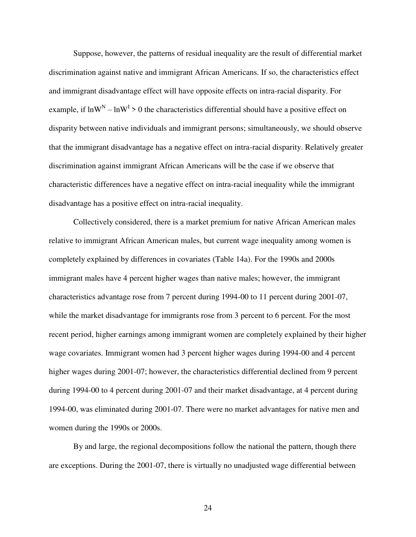Suppose, however, the patterns of residual inequality are the result of differential market discrimination against native and immigrant African Americans. If so, the characteristics effect and immigrant disadvantage effect will have opposite effects on intra-racial disparity. For example, if  $lnW^N - lnW^I > 0$  the characteristics differential should have a positive effect on disparity between native individuals and immigrant persons; simultaneously, we should observe that the immigrant disadvantage has a negative effect on intra-racial disparity. Relatively greater discrimination against immigrant African Americans will be the case if we observe that characteristic differences have a negative effect on intra-racial inequality while the immigrant disadvantage has a positive effect on intra-racial inequality.

 Collectively considered, there is a market premium for native African American males relative to immigrant African American males, but current wage inequality among women is completely explained by differences in covariates (Table 14a). For the 1990s and 2000s immigrant males have 4 percent higher wages than native males; however, the immigrant characteristics advantage rose from 7 percent during 1994-00 to 11 percent during 2001-07, while the market disadvantage for immigrants rose from 3 percent to 6 percent. For the most recent period, higher earnings among immigrant women are completely explained by their higher wage covariates. Immigrant women had 3 percent higher wages during 1994-00 and 4 percent higher wages during 2001-07; however, the characteristics differential declined from 9 percent during 1994-00 to 4 percent during 2001-07 and their market disadvantage, at 4 percent during 1994-00, was eliminated during 2001-07. There were no market advantages for native men and women during the 1990s or 2000s.

 By and large, the regional decompositions follow the national the pattern, though there are exceptions. During the 2001-07, there is virtually no unadjusted wage differential between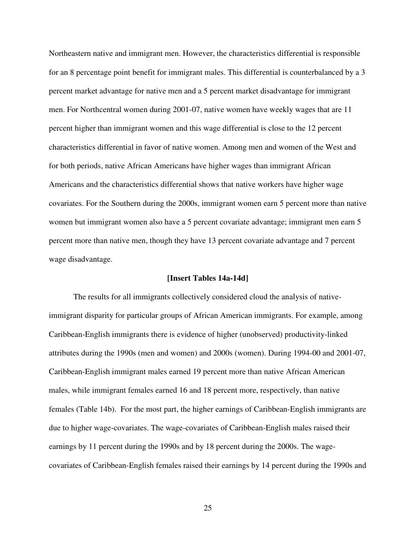Northeastern native and immigrant men. However, the characteristics differential is responsible for an 8 percentage point benefit for immigrant males. This differential is counterbalanced by a 3 percent market advantage for native men and a 5 percent market disadvantage for immigrant men. For Northcentral women during 2001-07, native women have weekly wages that are 11 percent higher than immigrant women and this wage differential is close to the 12 percent characteristics differential in favor of native women. Among men and women of the West and for both periods, native African Americans have higher wages than immigrant African Americans and the characteristics differential shows that native workers have higher wage covariates. For the Southern during the 2000s, immigrant women earn 5 percent more than native women but immigrant women also have a 5 percent covariate advantage; immigrant men earn 5 percent more than native men, though they have 13 percent covariate advantage and 7 percent wage disadvantage.

# **[Insert Tables 14a-14d]**

 The results for all immigrants collectively considered cloud the analysis of nativeimmigrant disparity for particular groups of African American immigrants. For example, among Caribbean-English immigrants there is evidence of higher (unobserved) productivity-linked attributes during the 1990s (men and women) and 2000s (women). During 1994-00 and 2001-07, Caribbean-English immigrant males earned 19 percent more than native African American males, while immigrant females earned 16 and 18 percent more, respectively, than native females (Table 14b). For the most part, the higher earnings of Caribbean-English immigrants are due to higher wage-covariates. The wage-covariates of Caribbean-English males raised their earnings by 11 percent during the 1990s and by 18 percent during the 2000s. The wagecovariates of Caribbean-English females raised their earnings by 14 percent during the 1990s and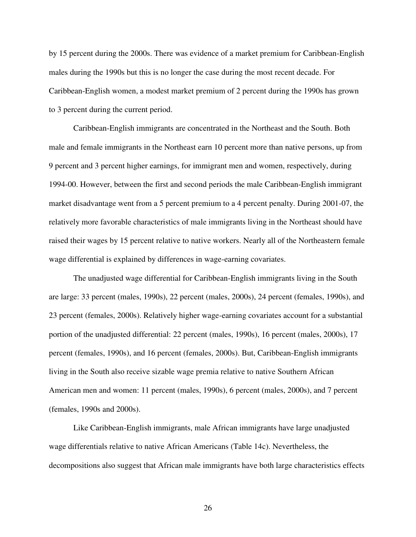by 15 percent during the 2000s. There was evidence of a market premium for Caribbean-English males during the 1990s but this is no longer the case during the most recent decade. For Caribbean-English women, a modest market premium of 2 percent during the 1990s has grown to 3 percent during the current period.

 Caribbean-English immigrants are concentrated in the Northeast and the South. Both male and female immigrants in the Northeast earn 10 percent more than native persons, up from 9 percent and 3 percent higher earnings, for immigrant men and women, respectively, during 1994-00. However, between the first and second periods the male Caribbean-English immigrant market disadvantage went from a 5 percent premium to a 4 percent penalty. During 2001-07, the relatively more favorable characteristics of male immigrants living in the Northeast should have raised their wages by 15 percent relative to native workers. Nearly all of the Northeastern female wage differential is explained by differences in wage-earning covariates.

 The unadjusted wage differential for Caribbean-English immigrants living in the South are large: 33 percent (males, 1990s), 22 percent (males, 2000s), 24 percent (females, 1990s), and 23 percent (females, 2000s). Relatively higher wage-earning covariates account for a substantial portion of the unadjusted differential: 22 percent (males, 1990s), 16 percent (males, 2000s), 17 percent (females, 1990s), and 16 percent (females, 2000s). But, Caribbean-English immigrants living in the South also receive sizable wage premia relative to native Southern African American men and women: 11 percent (males, 1990s), 6 percent (males, 2000s), and 7 percent (females, 1990s and 2000s).

Like Caribbean-English immigrants, male African immigrants have large unadjusted wage differentials relative to native African Americans (Table 14c). Nevertheless, the decompositions also suggest that African male immigrants have both large characteristics effects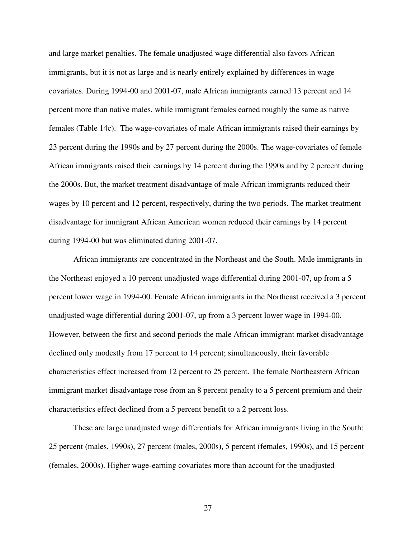and large market penalties. The female unadjusted wage differential also favors African immigrants, but it is not as large and is nearly entirely explained by differences in wage covariates. During 1994-00 and 2001-07, male African immigrants earned 13 percent and 14 percent more than native males, while immigrant females earned roughly the same as native females (Table 14c). The wage-covariates of male African immigrants raised their earnings by 23 percent during the 1990s and by 27 percent during the 2000s. The wage-covariates of female African immigrants raised their earnings by 14 percent during the 1990s and by 2 percent during the 2000s. But, the market treatment disadvantage of male African immigrants reduced their wages by 10 percent and 12 percent, respectively, during the two periods. The market treatment disadvantage for immigrant African American women reduced their earnings by 14 percent during 1994-00 but was eliminated during 2001-07.

African immigrants are concentrated in the Northeast and the South. Male immigrants in the Northeast enjoyed a 10 percent unadjusted wage differential during 2001-07, up from a 5 percent lower wage in 1994-00. Female African immigrants in the Northeast received a 3 percent unadjusted wage differential during 2001-07, up from a 3 percent lower wage in 1994-00. However, between the first and second periods the male African immigrant market disadvantage declined only modestly from 17 percent to 14 percent; simultaneously, their favorable characteristics effect increased from 12 percent to 25 percent. The female Northeastern African immigrant market disadvantage rose from an 8 percent penalty to a 5 percent premium and their characteristics effect declined from a 5 percent benefit to a 2 percent loss.

These are large unadjusted wage differentials for African immigrants living in the South: 25 percent (males, 1990s), 27 percent (males, 2000s), 5 percent (females, 1990s), and 15 percent (females, 2000s). Higher wage-earning covariates more than account for the unadjusted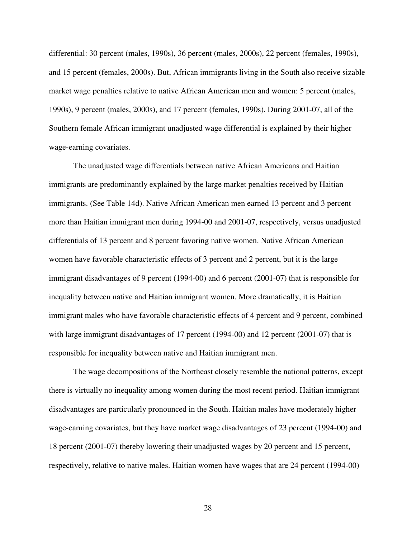differential: 30 percent (males, 1990s), 36 percent (males, 2000s), 22 percent (females, 1990s), and 15 percent (females, 2000s). But, African immigrants living in the South also receive sizable market wage penalties relative to native African American men and women: 5 percent (males, 1990s), 9 percent (males, 2000s), and 17 percent (females, 1990s). During 2001-07, all of the Southern female African immigrant unadjusted wage differential is explained by their higher wage-earning covariates.

 The unadjusted wage differentials between native African Americans and Haitian immigrants are predominantly explained by the large market penalties received by Haitian immigrants. (See Table 14d). Native African American men earned 13 percent and 3 percent more than Haitian immigrant men during 1994-00 and 2001-07, respectively, versus unadjusted differentials of 13 percent and 8 percent favoring native women. Native African American women have favorable characteristic effects of 3 percent and 2 percent, but it is the large immigrant disadvantages of 9 percent (1994-00) and 6 percent (2001-07) that is responsible for inequality between native and Haitian immigrant women. More dramatically, it is Haitian immigrant males who have favorable characteristic effects of 4 percent and 9 percent, combined with large immigrant disadvantages of 17 percent (1994-00) and 12 percent (2001-07) that is responsible for inequality between native and Haitian immigrant men.

 The wage decompositions of the Northeast closely resemble the national patterns, except there is virtually no inequality among women during the most recent period. Haitian immigrant disadvantages are particularly pronounced in the South. Haitian males have moderately higher wage-earning covariates, but they have market wage disadvantages of 23 percent (1994-00) and 18 percent (2001-07) thereby lowering their unadjusted wages by 20 percent and 15 percent, respectively, relative to native males. Haitian women have wages that are 24 percent (1994-00)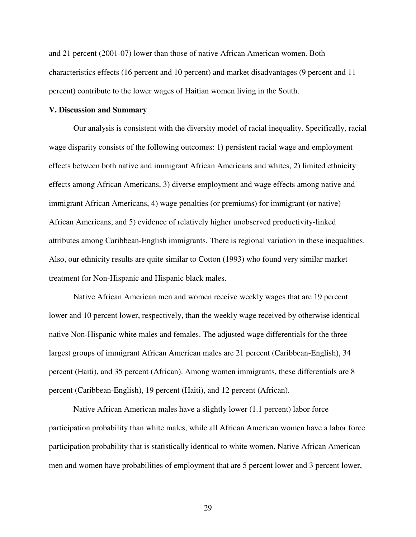and 21 percent (2001-07) lower than those of native African American women. Both characteristics effects (16 percent and 10 percent) and market disadvantages (9 percent and 11 percent) contribute to the lower wages of Haitian women living in the South.

#### **V. Discussion and Summary**

 Our analysis is consistent with the diversity model of racial inequality. Specifically, racial wage disparity consists of the following outcomes: 1) persistent racial wage and employment effects between both native and immigrant African Americans and whites, 2) limited ethnicity effects among African Americans, 3) diverse employment and wage effects among native and immigrant African Americans, 4) wage penalties (or premiums) for immigrant (or native) African Americans, and 5) evidence of relatively higher unobserved productivity-linked attributes among Caribbean-English immigrants. There is regional variation in these inequalities. Also, our ethnicity results are quite similar to Cotton (1993) who found very similar market treatment for Non-Hispanic and Hispanic black males.

Native African American men and women receive weekly wages that are 19 percent lower and 10 percent lower, respectively, than the weekly wage received by otherwise identical native Non-Hispanic white males and females. The adjusted wage differentials for the three largest groups of immigrant African American males are 21 percent (Caribbean-English), 34 percent (Haiti), and 35 percent (African). Among women immigrants, these differentials are 8 percent (Caribbean-English), 19 percent (Haiti), and 12 percent (African).

Native African American males have a slightly lower (1.1 percent) labor force participation probability than white males, while all African American women have a labor force participation probability that is statistically identical to white women. Native African American men and women have probabilities of employment that are 5 percent lower and 3 percent lower,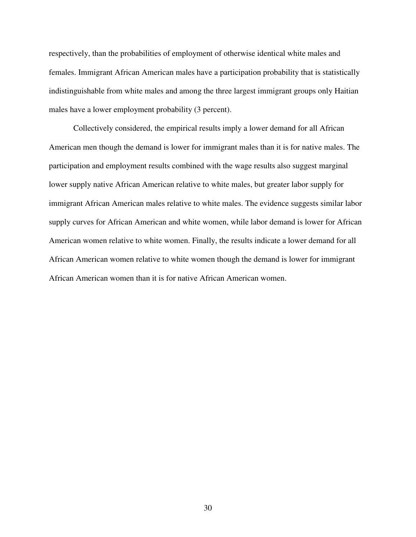respectively, than the probabilities of employment of otherwise identical white males and females. Immigrant African American males have a participation probability that is statistically indistinguishable from white males and among the three largest immigrant groups only Haitian males have a lower employment probability (3 percent).

Collectively considered, the empirical results imply a lower demand for all African American men though the demand is lower for immigrant males than it is for native males. The participation and employment results combined with the wage results also suggest marginal lower supply native African American relative to white males, but greater labor supply for immigrant African American males relative to white males. The evidence suggests similar labor supply curves for African American and white women, while labor demand is lower for African American women relative to white women. Finally, the results indicate a lower demand for all African American women relative to white women though the demand is lower for immigrant African American women than it is for native African American women.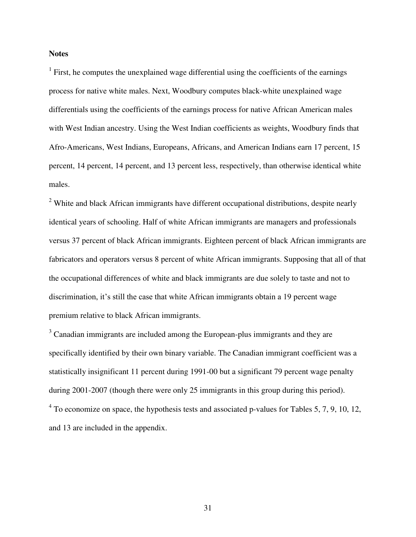#### **Notes**

 $<sup>1</sup>$  First, he computes the unexplained wage differential using the coefficients of the earnings</sup> process for native white males. Next, Woodbury computes black-white unexplained wage differentials using the coefficients of the earnings process for native African American males with West Indian ancestry. Using the West Indian coefficients as weights, Woodbury finds that Afro-Americans, West Indians, Europeans, Africans, and American Indians earn 17 percent, 15 percent, 14 percent, 14 percent, and 13 percent less, respectively, than otherwise identical white males.

 $2$  White and black African immigrants have different occupational distributions, despite nearly identical years of schooling. Half of white African immigrants are managers and professionals versus 37 percent of black African immigrants. Eighteen percent of black African immigrants are fabricators and operators versus 8 percent of white African immigrants. Supposing that all of that the occupational differences of white and black immigrants are due solely to taste and not to discrimination, it's still the case that white African immigrants obtain a 19 percent wage premium relative to black African immigrants.

 $3$  Canadian immigrants are included among the European-plus immigrants and they are specifically identified by their own binary variable. The Canadian immigrant coefficient was a statistically insignificant 11 percent during 1991-00 but a significant 79 percent wage penalty during 2001-2007 (though there were only 25 immigrants in this group during this period).  $4$  To economize on space, the hypothesis tests and associated p-values for Tables 5, 7, 9, 10, 12,

and 13 are included in the appendix.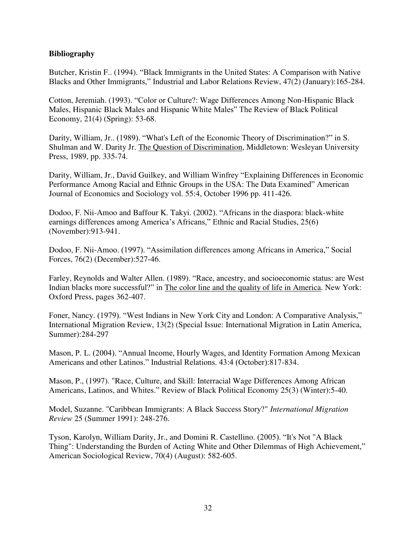# **Bibliography**

Butcher, Kristin F.. (1994). "Black Immigrants in the United States: A Comparison with Native Blacks and Other Immigrants," Industrial and Labor Relations Review, 47(2) (January):165-284.

Cotton, Jeremiah. (1993). "Color or Culture?: Wage Differences Among Non-Hispanic Black Males, Hispanic Black Males and Hispanic White Males" The Review of Black Political Economy, 21(4) (Spring): 53-68.

Darity, William, Jr.. (1989). "What's Left of the Economic Theory of Discrimination?" in S. Shulman and W. Darity Jr. The Question of Discrimination, Middletown: Wesleyan University Press, 1989, pp. 335-74.

Darity, William, Jr., David Guilkey, and William Winfrey "Explaining Differences in Economic Performance Among Racial and Ethnic Groups in the USA: The Data Examined" American Journal of Economics and Sociology vol. 55:4, October 1996 pp. 411-426.

Dodoo, F. Nii-Amoo and Baffour K. Takyi. (2002). "Africans in the diaspora: black-white earnings differences among America's Africans," Ethnic and Racial Studies, 25(6) (November):913-941.

Dodoo, F. Nii-Amoo. (1997). "Assimilation differences among Africans in America," Social Forces, 76(2) (December):527-46.

Farley, Reynolds and Walter Allen. (1989). "Race, ancestry, and socioeconomic status: are West Indian blacks more successful?" in The color line and the quality of life in America. New York: Oxford Press, pages 362-407.

Foner, Nancy. (1979). "West Indians in New York City and London: A Comparative Analysis," International Migration Review, 13(2) (Special Issue: International Migration in Latin America, Summer):284-297

Mason, P. L. (2004). "Annual Income, Hourly Wages, and Identity Formation Among Mexican Americans and other Latinos." Industrial Relations. 43:4 (October):817-834.

Mason, P., (1997). "Race, Culture, and Skill: Interracial Wage Differences Among African Americans, Latinos, and Whites." Review of Black Political Economy 25(3) (Winter):5-40.

Model, Suzanne. "Caribbean Immigrants: A Black Success Story?" *International Migration Review* 25 (Summer 1991): 248-276.

Tyson, Karolyn, William Darity, Jr., and Domini R. Castellino. (2005). "It's Not "A Black Thing": Understanding the Burden of Acting White and Other Dilemmas of High Achievement," American Sociological Review, 70(4) (August): 582-605.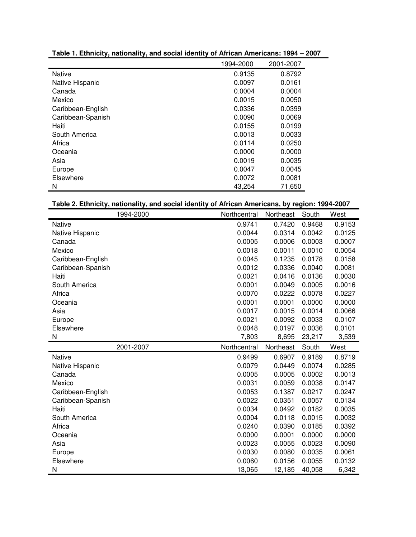|                   | 1994-2000 | 2001-2007 |
|-------------------|-----------|-----------|
| <b>Native</b>     | 0.9135    | 0.8792    |
| Native Hispanic   | 0.0097    | 0.0161    |
| Canada            | 0.0004    | 0.0004    |
| Mexico            | 0.0015    | 0.0050    |
| Caribbean-English | 0.0336    | 0.0399    |
| Caribbean-Spanish | 0.0090    | 0.0069    |
| Haiti             | 0.0155    | 0.0199    |
| South America     | 0.0013    | 0.0033    |
| Africa            | 0.0114    | 0.0250    |
| Oceania           | 0.0000    | 0.0000    |
| Asia              | 0.0019    | 0.0035    |
| Europe            | 0.0047    | 0.0045    |
| Elsewhere         | 0.0072    | 0.0081    |
| N                 | 43,254    | 71,650    |

**Table 1. Ethnicity, nationality, and social identity of African Americans: 1994 – 2007** 

| 1994-2000         | Northcentral | Northeast | South  | West   |
|-------------------|--------------|-----------|--------|--------|
| <b>Native</b>     | 0.9741       | 0.7420    | 0.9468 | 0.9153 |
| Native Hispanic   | 0.0044       | 0.0314    | 0.0042 | 0.0125 |
| Canada            | 0.0005       | 0.0006    | 0.0003 | 0.0007 |
| Mexico            | 0.0018       | 0.0011    | 0.0010 | 0.0054 |
| Caribbean-English | 0.0045       | 0.1235    | 0.0178 | 0.0158 |
| Caribbean-Spanish | 0.0012       | 0.0336    | 0.0040 | 0.0081 |
| Haiti             | 0.0021       | 0.0416    | 0.0136 | 0.0030 |
| South America     | 0.0001       | 0.0049    | 0.0005 | 0.0016 |
| Africa            | 0.0070       | 0.0222    | 0.0078 | 0.0227 |
| Oceania           | 0.0001       | 0.0001    | 0.0000 | 0.0000 |
| Asia              | 0.0017       | 0.0015    | 0.0014 | 0.0066 |
| Europe            | 0.0021       | 0.0092    | 0.0033 | 0.0107 |
| Elsewhere         | 0.0048       | 0.0197    | 0.0036 | 0.0101 |
| N                 | 7,803        | 8,695     | 23,217 | 3,539  |
|                   |              |           |        |        |
| 2001-2007         | Northcentral | Northeast | South  | West   |
| Native            | 0.9499       | 0.6907    | 0.9189 | 0.8719 |
| Native Hispanic   | 0.0079       | 0.0449    | 0.0074 | 0.0285 |
| Canada            | 0.0005       | 0.0005    | 0.0002 | 0.0013 |
| Mexico            | 0.0031       | 0.0059    | 0.0038 | 0.0147 |
| Caribbean-English | 0.0053       | 0.1387    | 0.0217 | 0.0247 |
| Caribbean-Spanish | 0.0022       | 0.0351    | 0.0057 | 0.0134 |
| Haiti             | 0.0034       | 0.0492    | 0.0182 | 0.0035 |
| South America     | 0.0004       | 0.0118    | 0.0015 | 0.0032 |
| Africa            | 0.0240       | 0.0390    | 0.0185 | 0.0392 |
| Oceania           | 0.0000       | 0.0001    | 0.0000 | 0.0000 |
| Asia              | 0.0023       | 0.0055    | 0.0023 | 0.0090 |
| Europe            | 0.0030       | 0.0080    | 0.0035 | 0.0061 |
| Elsewhere         | 0.0060       | 0.0156    | 0.0055 | 0.0132 |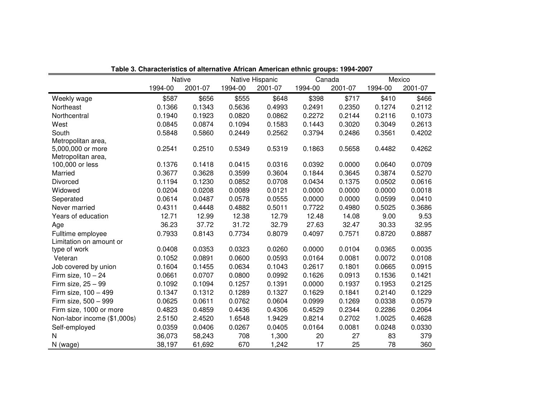|                             |         | <b>Native</b> |         | Native Hispanic |         | Canada  | Mexico  |         |
|-----------------------------|---------|---------------|---------|-----------------|---------|---------|---------|---------|
|                             | 1994-00 | 2001-07       | 1994-00 | 2001-07         | 1994-00 | 2001-07 | 1994-00 | 2001-07 |
| Weekly wage                 | \$587   | \$656         | \$555   | \$648           | \$398   | \$717   | \$410   | \$466   |
| Northeast                   | 0.1366  | 0.1343        | 0.5636  | 0.4993          | 0.2491  | 0.2350  | 0.1274  | 0.2112  |
| Northcentral                | 0.1940  | 0.1923        | 0.0820  | 0.0862          | 0.2272  | 0.2144  | 0.2116  | 0.1073  |
| West                        | 0.0845  | 0.0874        | 0.1094  | 0.1583          | 0.1443  | 0.3020  | 0.3049  | 0.2613  |
| South                       | 0.5848  | 0.5860        | 0.2449  | 0.2562          | 0.3794  | 0.2486  | 0.3561  | 0.4202  |
| Metropolitan area,          |         |               |         |                 |         |         |         |         |
| 5,000,000 or more           | 0.2541  | 0.2510        | 0.5349  | 0.5319          | 0.1863  | 0.5658  | 0.4482  | 0.4262  |
| Metropolitan area,          |         |               |         |                 |         |         |         |         |
| 100,000 or less             | 0.1376  | 0.1418        | 0.0415  | 0.0316          | 0.0392  | 0.0000  | 0.0640  | 0.0709  |
| Married                     | 0.3677  | 0.3628        | 0.3599  | 0.3604          | 0.1844  | 0.3645  | 0.3874  | 0.5270  |
| Divorced                    | 0.1194  | 0.1230        | 0.0852  | 0.0708          | 0.0434  | 0.1375  | 0.0502  | 0.0616  |
| Widowed                     | 0.0204  | 0.0208        | 0.0089  | 0.0121          | 0.0000  | 0.0000  | 0.0000  | 0.0018  |
| Seperated                   | 0.0614  | 0.0487        | 0.0578  | 0.0555          | 0.0000  | 0.0000  | 0.0599  | 0.0410  |
| Never married               | 0.4311  | 0.4448        | 0.4882  | 0.5011          | 0.7722  | 0.4980  | 0.5025  | 0.3686  |
| Years of education          | 12.71   | 12.99         | 12.38   | 12.79           | 12.48   | 14.08   | 9.00    | 9.53    |
| Age                         | 36.23   | 37.72         | 31.72   | 32.79           | 27.63   | 32.47   | 30.33   | 32.95   |
| Fulltime employee           | 0.7933  | 0.8143        | 0.7734  | 0.8079          | 0.4097  | 0.7571  | 0.8720  | 0.8887  |
| Limitation on amount or     |         |               |         |                 |         |         |         |         |
| type of work                | 0.0408  | 0.0353        | 0.0323  | 0.0260          | 0.0000  | 0.0104  | 0.0365  | 0.0035  |
| Veteran                     | 0.1052  | 0.0891        | 0.0600  | 0.0593          | 0.0164  | 0.0081  | 0.0072  | 0.0108  |
| Job covered by union        | 0.1604  | 0.1455        | 0.0634  | 0.1043          | 0.2617  | 0.1801  | 0.0665  | 0.0915  |
| Firm size, $10 - 24$        | 0.0661  | 0.0707        | 0.0800  | 0.0992          | 0.1626  | 0.0913  | 0.1536  | 0.1421  |
| Firm size, 25 - 99          | 0.1092  | 0.1094        | 0.1257  | 0.1391          | 0.0000  | 0.1937  | 0.1953  | 0.2125  |
| Firm size, 100 - 499        | 0.1347  | 0.1312        | 0.1289  | 0.1327          | 0.1629  | 0.1841  | 0.2140  | 0.1229  |
| Firm size, 500 - 999        | 0.0625  | 0.0611        | 0.0762  | 0.0604          | 0.0999  | 0.1269  | 0.0338  | 0.0579  |
| Firm size, 1000 or more     | 0.4823  | 0.4859        | 0.4436  | 0.4306          | 0.4529  | 0.2344  | 0.2286  | 0.2064  |
| Non-labor income (\$1,000s) | 2.5150  | 2.4520        | 1.6548  | 1.9429          | 0.8214  | 0.2702  | 1.0025  | 0.4628  |
| Self-employed               | 0.0359  | 0.0406        | 0.0267  | 0.0405          | 0.0164  | 0.0081  | 0.0248  | 0.0330  |
| N                           | 36,073  | 58,243        | 708     | 1,300           | 20      | 27      | 83      | 379     |
| N (wage)                    | 38,197  | 61,692        | 670     | 1,242           | 17      | 25      | 78      | 360     |

**Table 3. Characteristics of alternative African American ethnic groups: 1994-2007**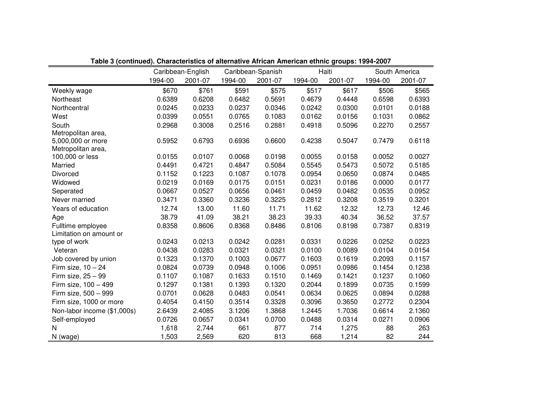|                             |         | Caribbean-English |         | Caribbean-Spanish |         | Haiti   | South America |         |
|-----------------------------|---------|-------------------|---------|-------------------|---------|---------|---------------|---------|
|                             | 1994-00 | 2001-07           | 1994-00 | 2001-07           | 1994-00 | 2001-07 | 1994-00       | 2001-07 |
| Weekly wage                 | \$670   | \$761             | \$591   | \$575             | \$517   | \$617   | \$506         | \$565   |
| Northeast                   | 0.6389  | 0.6208            | 0.6482  | 0.5691            | 0.4679  | 0.4448  | 0.6598        | 0.6393  |
| Northcentral                | 0.0245  | 0.0233            | 0.0237  | 0.0346            | 0.0242  | 0.0300  | 0.0101        | 0.0188  |
| West                        | 0.0399  | 0.0551            | 0.0765  | 0.1083            | 0.0162  | 0.0156  | 0.1031        | 0.0862  |
| South                       | 0.2968  | 0.3008            | 0.2516  | 0.2881            | 0.4918  | 0.5096  | 0.2270        | 0.2557  |
| Metropolitan area,          |         |                   |         |                   |         |         |               |         |
| 5,000,000 or more           | 0.5952  | 0.6793            | 0.6936  | 0.6600            | 0.4238  | 0.5047  | 0.7479        | 0.6118  |
| Metropolitan area,          |         |                   |         |                   |         |         |               |         |
| 100,000 or less             | 0.0155  | 0.0107            | 0.0068  | 0.0198            | 0.0055  | 0.0158  | 0.0052        | 0.0027  |
| Married                     | 0.4491  | 0.4721            | 0.4847  | 0.5084            | 0.5545  | 0.5473  | 0.5072        | 0.5185  |
| Divorced                    | 0.1152  | 0.1223            | 0.1087  | 0.1078            | 0.0954  | 0.0650  | 0.0874        | 0.0485  |
| Widowed                     | 0.0219  | 0.0169            | 0.0175  | 0.0151            | 0.0231  | 0.0186  | 0.0000        | 0.0177  |
| Seperated                   | 0.0667  | 0.0527            | 0.0656  | 0.0461            | 0.0459  | 0.0482  | 0.0535        | 0.0952  |
| Never married               | 0.3471  | 0.3360            | 0.3236  | 0.3225            | 0.2812  | 0.3208  | 0.3519        | 0.3201  |
| Years of education          | 12.74   | 13.00             | 11.60   | 11.71             | 11.62   | 12.32   | 12.73         | 12.46   |
| Age                         | 38.79   | 41.09             | 38.21   | 38.23             | 39.33   | 40.34   | 36.52         | 37.57   |
| Fulltime employee           | 0.8358  | 0.8606            | 0.8368  | 0.8486            | 0.8106  | 0.8198  | 0.7387        | 0.8319  |
| Limitation on amount or     |         |                   |         |                   |         |         |               |         |
| type of work                | 0.0243  | 0.0213            | 0.0242  | 0.0281            | 0.0331  | 0.0226  | 0.0252        | 0.0223  |
| Veteran                     | 0.0438  | 0.0283            | 0.0321  | 0.0321            | 0.0100  | 0.0089  | 0.0104        | 0.0154  |
| Job covered by union        | 0.1323  | 0.1370            | 0.1003  | 0.0677            | 0.1603  | 0.1619  | 0.2093        | 0.1157  |
| Firm size, $10 - 24$        | 0.0824  | 0.0739            | 0.0948  | 0.1006            | 0.0951  | 0.0986  | 0.1454        | 0.1238  |
| Firm size, 25 - 99          | 0.1107  | 0.1087            | 0.1633  | 0.1510            | 0.1469  | 0.1421  | 0.1237        | 0.1060  |
| Firm size, 100 - 499        | 0.1297  | 0.1381            | 0.1393  | 0.1320            | 0.2044  | 0.1899  | 0.0735        | 0.1599  |
| Firm size, 500 - 999        | 0.0701  | 0.0628            | 0.0483  | 0.0541            | 0.0634  | 0.0625  | 0.0894        | 0.0288  |
| Firm size, 1000 or more     | 0.4054  | 0.4150            | 0.3514  | 0.3328            | 0.3096  | 0.3650  | 0.2772        | 0.2304  |
| Non-labor income (\$1,000s) | 2.6439  | 2.4085            | 3.1206  | 1.3868            | 1.2445  | 1.7036  | 0.6614        | 2.1360  |
| Self-employed               | 0.0726  | 0.0657            | 0.0341  | 0.0700            | 0.0488  | 0.0314  | 0.0271        | 0.0906  |
| N                           | 1,618   | 2,744             | 661     | 877               | 714     | 1,275   | 88            | 263     |
| N (wage)                    | 1,503   | 2,569             | 620     | 813               | 668     | 1,214   | 82            | 244     |

**Table 3 (continued). Characteristics of alternative African American ethnic groups: 1994-2007**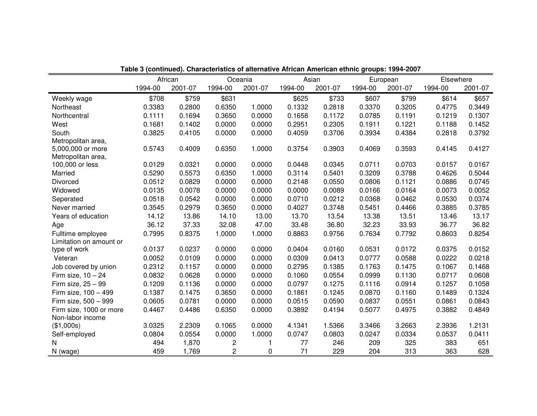|                         |         | rabic o (commucu). Onaracterístico or alternative Alfican Alfichcan cumile groupo. 1994-2007<br>African |                | Oceania |         | Asian   |         | European | Elsewhere |         |
|-------------------------|---------|---------------------------------------------------------------------------------------------------------|----------------|---------|---------|---------|---------|----------|-----------|---------|
|                         | 1994-00 | 2001-07                                                                                                 | 1994-00        | 2001-07 | 1994-00 | 2001-07 | 1994-00 | 2001-07  | 1994-00   | 2001-07 |
| Weekly wage             | \$708   | \$759                                                                                                   | \$631          |         | \$625   | \$733   | \$607   | \$799    | \$614     | \$657   |
| Northeast               | 0.3383  | 0.2800                                                                                                  | 0.6350         | 1.0000  | 0.1332  | 0.2818  | 0.3370  | 0.3205   | 0.4775    | 0.3449  |
| Northcentral            | 0.1111  | 0.1694                                                                                                  | 0.3650         | 0.0000  | 0.1658  | 0.1172  | 0.0785  | 0.1191   | 0.1219    | 0.1307  |
| West                    | 0.1681  | 0.1402                                                                                                  | 0.0000         | 0.0000  | 0.2951  | 0.2305  | 0.1911  | 0.1221   | 0.1188    | 0.1452  |
| South                   | 0.3825  | 0.4105                                                                                                  | 0.0000         | 0.0000  | 0.4059  | 0.3706  | 0.3934  | 0.4384   | 0.2818    | 0.3792  |
| Metropolitan area,      |         |                                                                                                         |                |         |         |         |         |          |           |         |
| 5,000,000 or more       | 0.5743  | 0.4009                                                                                                  | 0.6350         | 1.0000  | 0.3754  | 0.3903  | 0.4069  | 0.3593   | 0.4145    | 0.4127  |
| Metropolitan area,      |         |                                                                                                         |                |         |         |         |         |          |           |         |
| 100,000 or less         | 0.0129  | 0.0321                                                                                                  | 0.0000         | 0.0000  | 0.0448  | 0.0345  | 0.0711  | 0.0703   | 0.0157    | 0.0167  |
| Married                 | 0.5290  | 0.5573                                                                                                  | 0.6350         | 1.0000  | 0.3114  | 0.5401  | 0.3209  | 0.3788   | 0.4626    | 0.5044  |
| Divorced                | 0.0512  | 0.0829                                                                                                  | 0.0000         | 0.0000  | 0.2148  | 0.0550  | 0.0806  | 0.1121   | 0.0886    | 0.0745  |
| Widowed                 | 0.0135  | 0.0078                                                                                                  | 0.0000         | 0.0000  | 0.0000  | 0.0089  | 0.0166  | 0.0164   | 0.0073    | 0.0052  |
| Seperated               | 0.0518  | 0.0542                                                                                                  | 0.0000         | 0.0000  | 0.0710  | 0.0212  | 0.0368  | 0.0462   | 0.0530    | 0.0374  |
| Never married           | 0.3545  | 0.2979                                                                                                  | 0.3650         | 0.0000  | 0.4027  | 0.3748  | 0.5451  | 0.4466   | 0.3885    | 0.3785  |
| Years of education      | 14.12   | 13.86                                                                                                   | 14.10          | 13.00   | 13.70   | 13.54   | 13.38   | 13.51    | 13.46     | 13.17   |
| Age                     | 36.12   | 37.33                                                                                                   | 32.08          | 47.00   | 33.48   | 36.80   | 32.23   | 33.93    | 36.77     | 36.82   |
| Fulltime employee       | 0.7995  | 0.8375                                                                                                  | 1.0000         | 1.0000  | 0.8863  | 0.9756  | 0.7634  | 0.7792   | 0.8603    | 0.8254  |
| Limitation on amount or |         |                                                                                                         |                |         |         |         |         |          |           |         |
| type of work            | 0.0137  | 0.0237                                                                                                  | 0.0000         | 0.0000  | 0.0404  | 0.0160  | 0.0531  | 0.0172   | 0.0375    | 0.0152  |
| Veteran                 | 0.0052  | 0.0109                                                                                                  | 0.0000         | 0.0000  | 0.0309  | 0.0413  | 0.0777  | 0.0588   | 0.0222    | 0.0218  |
| Job covered by union    | 0.2312  | 0.1157                                                                                                  | 0.0000         | 0.0000  | 0.2795  | 0.1385  | 0.1763  | 0.1475   | 0.1067    | 0.1468  |
| Firm size, $10 - 24$    | 0.0832  | 0.0628                                                                                                  | 0.0000         | 0.0000  | 0.1060  | 0.0554  | 0.0999  | 0.1130   | 0.0717    | 0.0608  |
| Firm size, 25 - 99      | 0.1209  | 0.1136                                                                                                  | 0.0000         | 0.0000  | 0.0797  | 0.1275  | 0.1116  | 0.0914   | 0.1257    | 0.1058  |
| Firm size, 100 - 499    | 0.1387  | 0.1475                                                                                                  | 0.3650         | 0.0000  | 0.1861  | 0.1245  | 0.0870  | 0.1160   | 0.1489    | 0.1324  |
| Firm size, 500 - 999    | 0.0605  | 0.0781                                                                                                  | 0.0000         | 0.0000  | 0.0515  | 0.0590  | 0.0837  | 0.0551   | 0.0861    | 0.0843  |
| Firm size, 1000 or more | 0.4467  | 0.4486                                                                                                  | 0.6350         | 0.0000  | 0.3892  | 0.4194  | 0.5077  | 0.4975   | 0.3882    | 0.4849  |
| Non-labor income        |         |                                                                                                         |                |         |         |         |         |          |           |         |
| (\$1,000s)              | 3.0325  | 2.2309                                                                                                  | 0.1065         | 0.0000  | 4.1341  | 1.5366  | 3.3466  | 3.2663   | 2.3936    | 1.2131  |
| Self-employed           | 0.0804  | 0.0554                                                                                                  | 0.0000         | 1.0000  | 0.0747  | 0.0803  | 0.0247  | 0.0334   | 0.0537    | 0.0411  |
| N                       | 494     | 1,870                                                                                                   | 2              |         | 77      | 246     | 209     | 325      | 383       | 651     |
| N (wage)                | 459     | 1,769                                                                                                   | $\overline{c}$ | 0       | 71      | 229     | 204     | 313      | 363       | 628     |

**Table 3 (continued). Characteristics of alternative African American ethnic groups: 1994-2007**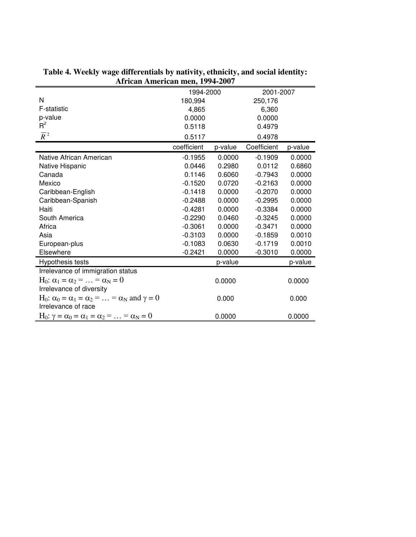| All Rail American men, $177 + 2007$                                                    |             |         |             |         |
|----------------------------------------------------------------------------------------|-------------|---------|-------------|---------|
|                                                                                        | 1994-2000   |         | 2001-2007   |         |
| N                                                                                      | 180,994     |         | 250,176     |         |
| <b>F-statistic</b>                                                                     | 4,865       |         | 6,360       |         |
| p-value                                                                                | 0.0000      |         | 0.0000      |         |
| $R^2$                                                                                  | 0.5118      |         | 0.4979      |         |
| $\overline{R}^2$                                                                       | 0.5117      |         | 0.4978      |         |
|                                                                                        | coefficient | p-value | Coefficient | p-value |
| Native African American                                                                | $-0.1955$   | 0.0000  | $-0.1909$   | 0.0000  |
| Native Hispanic                                                                        | 0.0446      | 0.2980  | 0.0112      | 0.6860  |
| Canada                                                                                 | 0.1146      | 0.6060  | $-0.7943$   | 0.0000  |
| Mexico                                                                                 | $-0.1520$   | 0.0720  | $-0.2163$   | 0.0000  |
| Caribbean-English                                                                      | $-0.1418$   | 0.0000  | $-0.2070$   | 0.0000  |
| Caribbean-Spanish                                                                      | $-0.2488$   | 0.0000  | $-0.2995$   | 0.0000  |
| Haiti                                                                                  | $-0.4281$   | 0.0000  | $-0.3384$   | 0.0000  |
| South America                                                                          | $-0.2290$   | 0.0460  | $-0.3245$   | 0.0000  |
| Africa                                                                                 | $-0.3061$   | 0.0000  | $-0.3471$   | 0.0000  |
| Asia                                                                                   | $-0.3103$   | 0.0000  | $-0.1859$   | 0.0010  |
| European-plus                                                                          | $-0.1083$   | 0.0630  | $-0.1719$   | 0.0010  |
| Elsewhere                                                                              | $-0.2421$   | 0.0000  | $-0.3010$   | 0.0000  |
| Hypothesis tests                                                                       |             | p-value |             | p-value |
| Irrelevance of immigration status                                                      |             |         |             |         |
| $H_0$ : $\alpha_1 = \alpha_2 = \ldots = \alpha_N = 0$                                  |             | 0.0000  |             | 0.0000  |
| Irrelevance of diversity                                                               |             |         |             |         |
| H <sub>0</sub> : $\alpha_0 = \alpha_1 = \alpha_2 = \ldots = \alpha_N$ and $\gamma = 0$ |             | 0.000   |             | 0.000   |
| Irrelevance of race                                                                    |             |         |             |         |
| H <sub>0</sub> : $\gamma = \alpha_0 = \alpha_1 = \alpha_2 = \ldots = \alpha_N = 0$     |             | 0.0000  |             | 0.0000  |

**Table 4. Weekly wage differentials by nativity, ethnicity, and social identity: African American men, 1994-2007**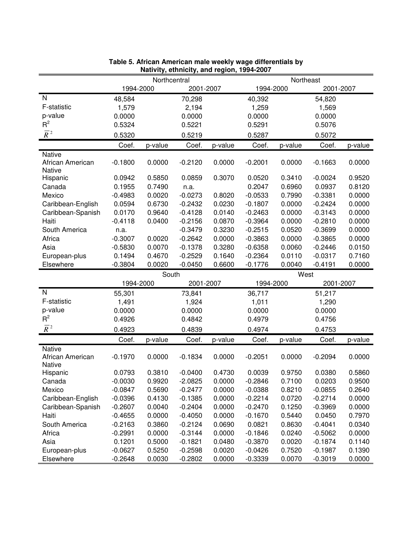|                            |                     | Northcentral     |                        |                  |                        | Northeast        |                        |                  |
|----------------------------|---------------------|------------------|------------------------|------------------|------------------------|------------------|------------------------|------------------|
|                            | 1994-2000           |                  | 2001-2007              |                  | 1994-2000              |                  | 2001-2007              |                  |
| N                          | 48,584              |                  | 70,298                 |                  | 40,392                 |                  | 54,820                 |                  |
| F-statistic                | 1,579               |                  | 2,194                  |                  | 1,259                  |                  | 1,569                  |                  |
| p-value                    | 0.0000              |                  | 0.0000                 |                  | 0.0000                 |                  | 0.0000                 |                  |
| $R^2$                      | 0.5324              |                  | 0.5221                 |                  | 0.5291                 |                  | 0.5076                 |                  |
| $\overline{R}^2$           | 0.5320              |                  | 0.5219                 |                  | 0.5287                 |                  | 0.5072                 |                  |
|                            | Coef.               | p-value          | Coef.                  | p-value          | Coef.                  | p-value          | Coef.                  | p-value          |
| Native                     |                     |                  |                        |                  |                        |                  |                        |                  |
| African American<br>Native | $-0.1800$           | 0.0000           | $-0.2120$              | 0.0000           | $-0.2001$              | 0.0000           | $-0.1663$              | 0.0000           |
| Hispanic                   | 0.0942              | 0.5850           | 0.0859                 | 0.3070           | 0.0520                 | 0.3410           | $-0.0024$              | 0.9520           |
| Canada                     | 0.1955              | 0.7490           | n.a.                   |                  | 0.2047                 | 0.6960           | 0.0937                 | 0.8120           |
| Mexico                     | $-0.4983$           | 0.0020           | $-0.0273$              | 0.8020           | $-0.0533$              | 0.7990           | $-0.3381$              | 0.0000           |
| Caribbean-English          | 0.0594              | 0.6730           | $-0.2432$              | 0.0230           | $-0.1807$              | 0.0000           | $-0.2424$              | 0.0000           |
| Caribbean-Spanish          | 0.0170              | 0.9640           | $-0.4128$              | 0.0140           | $-0.2463$              | 0.0000           | $-0.3143$              | 0.0000           |
| Haiti                      | $-0.4118$           | 0.0400           | $-0.2156$              | 0.0870           | $-0.3964$              | 0.0000           | $-0.2810$              | 0.0000           |
| South America              | n.a.                |                  | $-0.3479$              | 0.3230           | $-0.2515$              | 0.0520           | $-0.3699$              | 0.0000           |
| Africa                     | $-0.3007$           | 0.0020           | $-0.2642$              | 0.0000           | $-0.3863$              | 0.0000           | $-0.3865$              | 0.0000           |
| Asia                       | $-0.5830$           | 0.0070           | $-0.1378$              | 0.3280           | $-0.6358$              | 0.0060           | $-0.2446$              | 0.0150           |
| European-plus              | 0.1494              | 0.4670           | $-0.2529$              | 0.1640           | $-0.2364$              | 0.0110           | $-0.0317$              | 0.7160           |
| Elsewhere                  | $-0.3804$           | 0.0020           | $-0.0450$              | 0.6600           | $-0.1776$              | 0.0040           | $-0.4191$              | 0.0000           |
|                            |                     | South            |                        |                  |                        | West             |                        |                  |
|                            | 1994-2000           |                  | 2001-2007              |                  | 1994-2000              |                  | 2001-2007              |                  |
| N                          | 55,301              |                  | 73,841                 |                  | 36,717                 |                  | 51,217                 |                  |
| F-statistic                | 1,491               |                  | 1,924                  |                  | 1,011                  |                  | 1,290                  |                  |
| p-value                    | 0.0000              |                  | 0.0000                 |                  | 0.0000                 |                  | 0.0000                 |                  |
| $R^2$                      | 0.4926              |                  | 0.4842                 |                  | 0.4979                 |                  | 0.4756                 |                  |
| $\overline{R}^2$           | 0.4923              |                  | 0.4839                 |                  | 0.4974                 |                  | 0.4753                 |                  |
|                            | Coef.               | p-value          | Coef.                  | p-value          | Coef.                  | p-value          | Coef.                  | p-value          |
| Native<br>African American | $-0.1970$           | 0.0000           | $-0.1834$              | 0.0000           | $-0.2051$              | 0.0000           | $-0.2094$              | 0.0000           |
| Native<br>Hispanic         | 0.0793              | 0.3810           | $-0.0400$              | 0.4730           | 0.0039                 | 0.9750           | 0.0380                 | 0.5860           |
| Canada                     | $-0.0030$           | 0.9920           | $-2.0825$              | 0.0000           | $-0.2846$              | 0.7100           | 0.0203                 | 0.9500           |
| Mexico                     | $-0.0847$           | 0.5690           | $-0.2477$              | 0.0000           | $-0.0388$              | 0.8210           | $-0.0855$              | 0.2640           |
| Caribbean-English          | $-0.0396$           | 0.4130           | $-0.1385$              | 0.0000           | $-0.2214$              | 0.0720           | $-0.2714$              | 0.0000           |
| Caribbean-Spanish          | $-0.2607$           | 0.0040           | $-0.2404$              | 0.0000           | $-0.2470$              | 0.1250           | $-0.3969$              | 0.0000           |
|                            | $-0.4655$           | 0.0000           | $-0.4050$              | 0.0000           | $-0.1670$              | 0.5440           | 0.0450                 | 0.7970           |
|                            |                     |                  |                        |                  |                        |                  |                        |                  |
| Haiti                      |                     |                  |                        |                  |                        |                  |                        |                  |
| South America              | $-0.2163$           | 0.3860           | $-0.2124$              | 0.0690           | 0.0821                 | 0.8630           | $-0.4041$              | 0.0340           |
| Africa                     | $-0.2991$           | 0.0000           | $-0.3144$              | 0.0000           | $-0.1846$              | 0.0240           | $-0.5062$              | 0.0000           |
| Asia<br>European-plus      | 0.1201<br>$-0.0627$ | 0.5000<br>0.5250 | $-0.1821$<br>$-0.2598$ | 0.0480<br>0.0020 | $-0.3870$<br>$-0.0426$ | 0.0020<br>0.7520 | $-0.1874$<br>$-0.1987$ | 0.1140<br>0.1390 |

**Table 5. African American male weekly wage differentials by Nativity, ethnicity, and region, 1994-2007**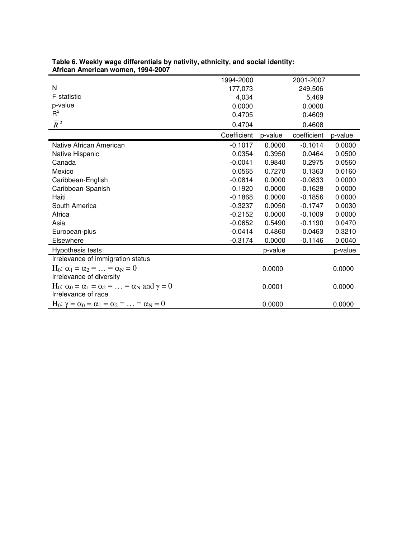|                                                                                                               | 1994-2000   |         | 2001-2007   |         |
|---------------------------------------------------------------------------------------------------------------|-------------|---------|-------------|---------|
| N                                                                                                             | 177,073     |         | 249,506     |         |
| <b>F-statistic</b>                                                                                            | 4,034       |         | 5,469       |         |
| p-value                                                                                                       | 0.0000      |         | 0.0000      |         |
| $R^2$                                                                                                         | 0.4705      |         | 0.4609      |         |
| $\overline{R}^2$                                                                                              | 0.4704      |         | 0.4608      |         |
|                                                                                                               | Coefficient | p-value | coefficient | p-value |
| Native African American                                                                                       | $-0.1017$   | 0.0000  | $-0.1014$   | 0.0000  |
| Native Hispanic                                                                                               | 0.0354      | 0.3950  | 0.0464      | 0.0500  |
| Canada                                                                                                        | $-0.0041$   | 0.9840  | 0.2975      | 0.0560  |
| Mexico                                                                                                        | 0.0565      | 0.7270  | 0.1363      | 0.0160  |
| Caribbean-English                                                                                             | $-0.0814$   | 0.0000  | $-0.0833$   | 0.0000  |
| Caribbean-Spanish                                                                                             | $-0.1920$   | 0.0000  | $-0.1628$   | 0.0000  |
| Haiti                                                                                                         | $-0.1868$   | 0.0000  | $-0.1856$   | 0.0000  |
| South America                                                                                                 | $-0.3237$   | 0.0050  | $-0.1747$   | 0.0030  |
| Africa                                                                                                        | $-0.2152$   | 0.0000  | $-0.1009$   | 0.0000  |
| Asia                                                                                                          | $-0.0652$   | 0.5490  | $-0.1190$   | 0.0470  |
| European-plus                                                                                                 | $-0.0414$   | 0.4860  | $-0.0463$   | 0.3210  |
| Elsewhere                                                                                                     | $-0.3174$   | 0.0000  | $-0.1146$   | 0.0040  |
| Hypothesis tests                                                                                              |             | p-value |             | p-value |
| Irrelevance of immigration status                                                                             |             |         |             |         |
| H <sub>0</sub> : $\alpha_1 = \alpha_2 = \ldots = \alpha_N = 0$<br>Irrelevance of diversity                    |             | 0.0000  |             | 0.0000  |
| H <sub>0</sub> : $\alpha_0 = \alpha_1 = \alpha_2 = \ldots = \alpha_N$ and $\gamma = 0$<br>Irrelevance of race |             | 0.0001  |             | 0.0000  |
| H <sub>0</sub> : $\gamma = \alpha_0 = \alpha_1 = \alpha_2 = \ldots = \alpha_N = 0$                            |             | 0.0000  |             | 0.0000  |

**Table 6. Weekly wage differentials by nativity, ethnicity, and social identity: African American women, 1994-2007**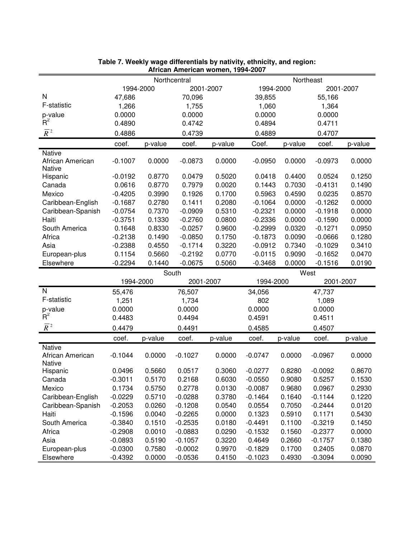|                            |                        |                  | Northcentral           |                  |                     | Northeast        |                     |                  |
|----------------------------|------------------------|------------------|------------------------|------------------|---------------------|------------------|---------------------|------------------|
|                            |                        | 1994-2000        | 2001-2007              |                  | 1994-2000           |                  | 2001-2007           |                  |
| Ν                          | 47,686                 |                  | 70,096                 |                  | 39,855              |                  | 55,166              |                  |
| F-statistic                | 1,266                  |                  | 1,755                  |                  | 1,060               |                  | 1,364               |                  |
| p-value                    | 0.0000                 |                  | 0.0000                 |                  | 0.0000              |                  | 0.0000              |                  |
| $R^2$                      | 0.4890                 |                  | 0.4742                 |                  | 0.4894              |                  | 0.4711              |                  |
|                            |                        |                  |                        |                  |                     |                  |                     |                  |
| $\overline{R}^2$           | 0.4886                 |                  | 0.4739                 |                  | 0.4889              |                  | 0.4707              |                  |
|                            | coef.                  | p-value          | coef.                  | p-value          | Coef.               | p-value          | coef.               | p-value          |
| Native                     |                        |                  |                        |                  |                     |                  |                     |                  |
| African American           | $-0.1007$              | 0.0000           | $-0.0873$              | 0.0000           | $-0.0950$           | 0.0000           | $-0.0973$           | 0.0000           |
| <b>Native</b>              |                        |                  |                        |                  |                     |                  |                     |                  |
| Hispanic                   | $-0.0192$              | 0.8770           | 0.0479                 | 0.5020           | 0.0418              | 0.4400           | 0.0524              | 0.1250           |
| Canada                     | 0.0616                 | 0.8770           | 0.7979                 | 0.0020           | 0.1443              | 0.7030           | $-0.4131$           | 0.1490           |
| Mexico                     | $-0.4205$              | 0.3990           | 0.1926                 | 0.1700           | 0.5963              | 0.4590           | 0.0235              | 0.8570           |
| Caribbean-English          | $-0.1687$              | 0.2780           | 0.1411                 | 0.2080           | $-0.1064$           | 0.0000           | $-0.1262$           | 0.0000           |
| Caribbean-Spanish          | $-0.0754$              | 0.7370           | $-0.0909$              | 0.5310           | $-0.2321$           | 0.0000           | $-0.1918$           | 0.0000           |
| Haiti                      | $-0.3751$              | 0.1330           | $-0.2760$              | 0.0800           | $-0.2336$           | 0.0000           | $-0.1590$           | 0.0000           |
| South America              | 0.1648                 | 0.8330           | $-0.0257$              | 0.9600           | $-0.2999$           | 0.0320           | $-0.1271$           | 0.0950           |
| Africa                     | $-0.2138$              | 0.1490           | $-0.0850$              | 0.1750           | $-0.1873$           | 0.0090           | $-0.0666$           | 0.1280           |
| Asia                       | $-0.2388$              | 0.4550           | $-0.1714$              | 0.3220           | $-0.0912$           | 0.7340           | $-0.1029$           | 0.3410           |
| European-plus              | 0.1154                 | 0.5660           | $-0.2192$              | 0.0770           | $-0.0115$           | 0.9090           | $-0.1652$           | 0.0470           |
| Elsewhere                  | $-0.2294$              | 0.1440           | $-0.0675$              | 0.5060           | $-0.3468$           | 0.0000           | $-0.1516$           | 0.0190           |
|                            |                        |                  | South                  |                  |                     | West             |                     |                  |
|                            | 1994-2000              |                  |                        |                  |                     |                  |                     |                  |
|                            |                        |                  | 2001-2007              |                  | 1994-2000           |                  | 2001-2007           |                  |
| N                          | 55,476                 |                  | 76,507                 |                  | 34,056              |                  | 47,737              |                  |
| F-statistic                | 1,251                  |                  | 1,734                  |                  | 802                 |                  | 1,089               |                  |
|                            | 0.0000                 |                  | 0.0000                 |                  | 0.0000              |                  | 0.0000              |                  |
| p-value<br>$R^2$           | 0.4483                 |                  | 0.4494                 |                  | 0.4591              |                  | 0.4511              |                  |
| $\overline{R}^2$           | 0.4479                 |                  | 0.4491                 |                  |                     |                  | 0.4507              |                  |
|                            |                        |                  |                        |                  | 0.4585              |                  |                     |                  |
|                            | coef.                  | p-value          | coef.                  | p-value          | coef.               | p-value          | coef.               | p-value          |
| <b>Native</b>              |                        |                  |                        | 0.0000           |                     |                  |                     |                  |
| African American<br>Native | $-0.1044$              | 0.0000           | $-0.1027$              |                  | $-0.0747$           | 0.0000           | $-0.0967$           | 0.0000           |
| Hispanic                   | 0.0496                 | 0.5660           | 0.0517                 | 0.3060           | $-0.0277$           | 0.8280           | $-0.0092$           | 0.8670           |
| Canada                     | $-0.3011$              | 0.5170           | 0.2168                 | 0.6030           | $-0.0550$           | 0.9080           | 0.5257              | 0.1530           |
| Mexico                     | 0.1734                 | 0.5750           | 0.2778                 |                  | $-0.0087$           | 0.9680           | 0.0967              | 0.2930           |
|                            |                        |                  |                        | 0.0130           |                     |                  |                     |                  |
| Caribbean-English          | $-0.0229$              | 0.5710           | $-0.0288$              | 0.3780           | $-0.1464$           | 0.1640           | $-0.1144$           | 0.1220           |
| Caribbean-Spanish          | $-0.2053$              | 0.0260           | $-0.1208$              | 0.0540           | 0.0554              | 0.7050           | $-0.2444$           | 0.0120           |
| Haiti                      | $-0.1596$              | 0.0040           | $-0.2265$              | 0.0000           | 0.1323              | 0.5910           | 0.1171              | 0.5430           |
| South America              | $-0.3840$              | 0.1510           | $-0.2535$              | 0.0180           | $-0.4491$           | 0.1100           | $-0.3219$           | 0.1450           |
| Africa                     | $-0.2908$              | 0.0010           | $-0.0883$              | 0.0290           | $-0.1532$           | 0.1560           | $-0.2377$           | 0.0000           |
| Asia<br>European-plus      | $-0.0893$<br>$-0.0300$ | 0.5190<br>0.7580 | $-0.1057$<br>$-0.0002$ | 0.3220<br>0.9970 | 0.4649<br>$-0.1829$ | 0.2660<br>0.1700 | $-0.1757$<br>0.2405 | 0.1380<br>0.0870 |

#### **Table 7. Weekly wage differentials by nativity, ethnicity, and region: African American women, 1994-2007**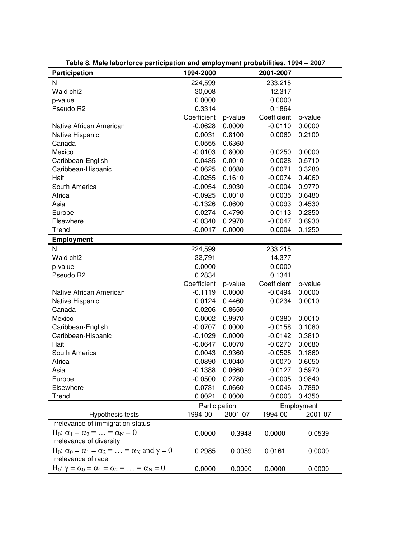| rable of male laboriouse participation and employment probabilities, 1994              |               |         |             | – zuu i               |
|----------------------------------------------------------------------------------------|---------------|---------|-------------|-----------------------|
| Participation                                                                          | 1994-2000     |         | 2001-2007   |                       |
| N                                                                                      | 224,599       |         | 233,215     |                       |
| Wald chi2                                                                              | 30,008        |         | 12,317      |                       |
| p-value                                                                                | 0.0000        |         | 0.0000      |                       |
| Pseudo R2                                                                              | 0.3314        |         | 0.1864      |                       |
|                                                                                        | Coefficient   | p-value | Coefficient | p-value               |
| Native African American                                                                | $-0.0628$     | 0.0000  | $-0.0110$   | 0.0000                |
| Native Hispanic                                                                        | 0.0031        | 0.8100  | 0.0060      | 0.2100                |
| Canada                                                                                 | $-0.0555$     | 0.6360  |             |                       |
| Mexico                                                                                 | $-0.0103$     | 0.8000  | 0.0250      | 0.0000                |
| Caribbean-English                                                                      | $-0.0435$     | 0.0010  | 0.0028      | 0.5710                |
| Caribbean-Hispanic                                                                     | $-0.0625$     | 0.0080  | 0.0071      | 0.3280                |
| Haiti                                                                                  | $-0.0255$     | 0.1610  | $-0.0074$   | 0.4060                |
| South America                                                                          | $-0.0054$     | 0.9030  | $-0.0004$   | 0.9770                |
| Africa                                                                                 | $-0.0925$     | 0.0010  | 0.0035      | 0.6480                |
| Asia                                                                                   | $-0.1326$     | 0.0600  | 0.0093      | 0.4530                |
| Europe                                                                                 | $-0.0274$     | 0.4790  | 0.0113      | 0.2350                |
| Elsewhere                                                                              | $-0.0340$     | 0.2970  | $-0.0047$   | 0.6930                |
| Trend                                                                                  | $-0.0017$     | 0.0000  | 0.0004      | 0.1250                |
| <b>Employment</b>                                                                      |               |         |             |                       |
| N                                                                                      | 224,599       |         | 233,215     |                       |
| Wald chi2                                                                              | 32,791        |         | 14,377      |                       |
| p-value                                                                                | 0.0000        |         | 0.0000      |                       |
| Pseudo R2                                                                              | 0.2834        |         | 0.1341      |                       |
|                                                                                        | Coefficient   | p-value | Coefficient | p-value               |
| Native African American                                                                | $-0.1119$     | 0.0000  | $-0.0494$   | 0.0000                |
| Native Hispanic                                                                        | 0.0124        | 0.4460  | 0.0234      | 0.0010                |
| Canada                                                                                 | $-0.0206$     | 0.8650  |             |                       |
| Mexico                                                                                 | $-0.0002$     | 0.9970  | 0.0380      | 0.0010                |
| Caribbean-English                                                                      | $-0.0707$     | 0.0000  | $-0.0158$   | 0.1080                |
| Caribbean-Hispanic                                                                     | $-0.1029$     | 0.0000  | $-0.0142$   | 0.3810                |
| Haiti                                                                                  | $-0.0647$     | 0.0070  | $-0.0270$   | 0.0680                |
| South America                                                                          | 0.0043        | 0.9360  | $-0.0525$   | 0.1860                |
| Africa                                                                                 | $-0.0890$     | 0.0040  | $-0.0070$   | 0.6050                |
| Asia                                                                                   | $-0.1388$     | 0.0660  | 0.0127      | 0.5970                |
| Europe                                                                                 | $-0.0500$     | 0.2780  | $-0.0005$   | 0.9840                |
| Elsewhere                                                                              | $-0.0731$     | 0.0660  | 0.0046      | 0.7890                |
| Trend                                                                                  | 0.0021        | 0.0000  | 0.0003      | 0.4350                |
|                                                                                        | Participation |         |             |                       |
| Hypothesis tests                                                                       | 1994-00       | 2001-07 | 1994-00     | Employment<br>2001-07 |
| Irrelevance of immigration status                                                      |               |         |             |                       |
| H <sub>0</sub> : $\alpha_1 = \alpha_2 =  = \alpha_N = 0$                               |               |         |             |                       |
| Irrelevance of diversity                                                               | 0.0000        | 0.3948  | 0.0000      | 0.0539                |
|                                                                                        |               |         |             |                       |
| H <sub>0</sub> : $\alpha_0 = \alpha_1 = \alpha_2 = \ldots = \alpha_N$ and $\gamma = 0$ | 0.2985        | 0.0059  | 0.0161      | 0.0000                |
| Irrelevance of race                                                                    |               |         |             |                       |
| H <sub>0</sub> : $\gamma = \alpha_0 = \alpha_1 = \alpha_2 = \ldots = \alpha_N = 0$     | 0.0000        | 0.0000  | 0.0000      | 0.0000                |

**Table 8. Male laborforce participation and employment probabilities, 1994 – 2007**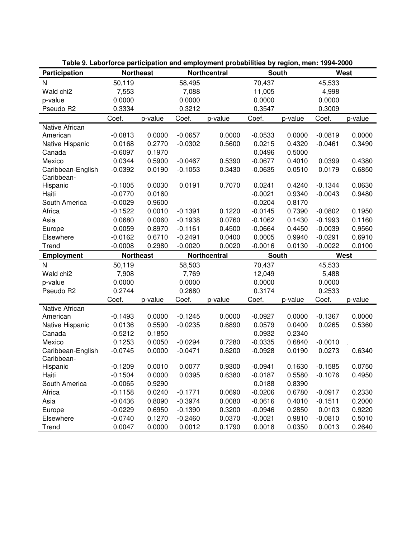| <b>Participation</b>            |           | <b>Northeast</b> | Northcentral |              | <b>South</b> |         | rabic J. Laborroroc participation and chipioginent probabilities by region, ment 1994-2000<br>West |         |
|---------------------------------|-----------|------------------|--------------|--------------|--------------|---------|----------------------------------------------------------------------------------------------------|---------|
| N                               | 50,119    |                  | 58,495       |              | 70,437       |         | 45,533                                                                                             |         |
| Wald chi2                       | 7,553     |                  | 7,088        |              | 11,005       |         | 4,998                                                                                              |         |
|                                 | 0.0000    |                  | 0.0000       |              | 0.0000       |         | 0.0000                                                                                             |         |
| p-value<br>Pseudo R2            | 0.3334    |                  | 0.3212       |              | 0.3547       |         | 0.3009                                                                                             |         |
|                                 |           |                  |              |              |              |         |                                                                                                    |         |
| Native African                  | Coef.     | p-value          | Coef.        | p-value      | Coef.        | p-value | Coef.                                                                                              | p-value |
| American                        | $-0.0813$ | 0.0000           | $-0.0657$    | 0.0000       | $-0.0533$    | 0.0000  | $-0.0819$                                                                                          | 0.0000  |
| Native Hispanic                 | 0.0168    | 0.2770           | $-0.0302$    | 0.5600       | 0.0215       | 0.4320  | $-0.0461$                                                                                          | 0.3490  |
| Canada                          | $-0.6097$ | 0.1970           |              |              | 0.0496       | 0.5000  |                                                                                                    |         |
| Mexico                          | 0.0344    | 0.5900           | $-0.0467$    | 0.5390       | $-0.0677$    | 0.4010  | 0.0399                                                                                             | 0.4380  |
| Caribbean-English               | $-0.0392$ | 0.0190           | $-0.1053$    | 0.3430       | $-0.0635$    | 0.0510  | 0.0179                                                                                             | 0.6850  |
| Caribbean-                      |           |                  |              |              |              |         |                                                                                                    |         |
| Hispanic                        | $-0.1005$ | 0.0030           | 0.0191       | 0.7070       | 0.0241       | 0.4240  | $-0.1344$                                                                                          | 0.0630  |
| Haiti                           | $-0.0770$ | 0.0160           |              |              | $-0.0021$    | 0.9340  | $-0.0043$                                                                                          | 0.9480  |
| South America                   | $-0.0029$ | 0.9600           |              |              | $-0.0204$    | 0.8170  |                                                                                                    |         |
| Africa                          | $-0.1522$ | 0.0010           | $-0.1391$    | 0.1220       | $-0.0145$    | 0.7390  | $-0.0802$                                                                                          | 0.1950  |
| Asia                            | 0.0680    | 0.0060           | $-0.1938$    | 0.0760       | $-0.1062$    | 0.1430  | $-0.1993$                                                                                          | 0.1160  |
| Europe                          | 0.0059    | 0.8970           | $-0.1161$    | 0.4500       | $-0.0664$    | 0.4450  | $-0.0039$                                                                                          | 0.9560  |
| Elsewhere                       | $-0.0162$ | 0.6710           | $-0.2491$    | 0.0400       | 0.0005       | 0.9940  | $-0.0291$                                                                                          | 0.6910  |
| Trend                           | $-0.0008$ | 0.2980           | $-0.0020$    | 0.0020       | $-0.0016$    | 0.0130  | $-0.0022$                                                                                          | 0.0100  |
|                                 |           |                  |              |              |              |         |                                                                                                    |         |
|                                 |           |                  |              |              |              |         |                                                                                                    |         |
| <b>Employment</b>               |           | <b>Northeast</b> |              | Northcentral | <b>South</b> |         |                                                                                                    | West    |
| N                               | 50,119    |                  | 58,503       |              | 70,437       |         | 45,533                                                                                             |         |
| Wald chi <sub>2</sub>           | 7,908     |                  | 7,769        |              | 12,049       |         | 5,488                                                                                              |         |
| p-value                         | 0.0000    |                  | 0.0000       |              | 0.0000       |         | 0.0000                                                                                             |         |
| Pseudo R2                       | 0.2744    |                  | 0.2680       |              | 0.3174       |         | 0.2533                                                                                             |         |
|                                 | Coef.     | p-value          | Coef.        | p-value      | Coef.        | p-value | Coef.                                                                                              | p-value |
| Native African<br>American      | $-0.1493$ | 0.0000           | $-0.1245$    | 0.0000       | $-0.0927$    | 0.0000  | $-0.1367$                                                                                          | 0.0000  |
|                                 | 0.0136    | 0.5590           | $-0.0235$    | 0.6890       | 0.0579       | 0.0400  | 0.0265                                                                                             | 0.5360  |
| Native Hispanic<br>Canada       | $-0.5212$ | 0.1850           |              |              | 0.0932       | 0.2340  |                                                                                                    |         |
| Mexico                          | 0.1253    | 0.0050           | $-0.0294$    | 0.7280       | $-0.0335$    | 0.6840  | $-0.0010$                                                                                          |         |
|                                 | $-0.0745$ | 0.0000           | $-0.0471$    | 0.6200       | $-0.0928$    | 0.0190  | 0.0273                                                                                             | 0.6340  |
| Caribbean-English<br>Caribbean- |           |                  |              |              |              |         |                                                                                                    |         |
| Hispanic                        | $-0.1209$ | 0.0010           | 0.0077       | 0.9300       | $-0.0941$    | 0.1630  | $-0.1585$                                                                                          | 0.0750  |
| Haiti                           | $-0.1504$ | 0.0000           | 0.0395       | 0.6380       | $-0.0187$    | 0.5580  | $-0.1076$                                                                                          | 0.4950  |
| South America                   | $-0.0065$ | 0.9290           |              |              | 0.0188       | 0.8390  |                                                                                                    |         |
| Africa                          | $-0.1158$ | 0.0240           | $-0.1771$    | 0.0690       | $-0.0206$    | 0.6780  | $-0.0917$                                                                                          | 0.2330  |
| Asia                            | $-0.0436$ | 0.8090           | $-0.3974$    | 0.0080       | $-0.0616$    | 0.4010  | $-0.1511$                                                                                          | 0.2000  |
| Europe                          | $-0.0229$ | 0.6950           | $-0.1390$    | 0.3200       | $-0.0946$    | 0.2850  | 0.0103                                                                                             | 0.9220  |
| Elsewhere                       | $-0.0740$ | 0.1270           | $-0.2460$    | 0.0370       | $-0.0021$    | 0.9810  | $-0.0810$                                                                                          | 0.5010  |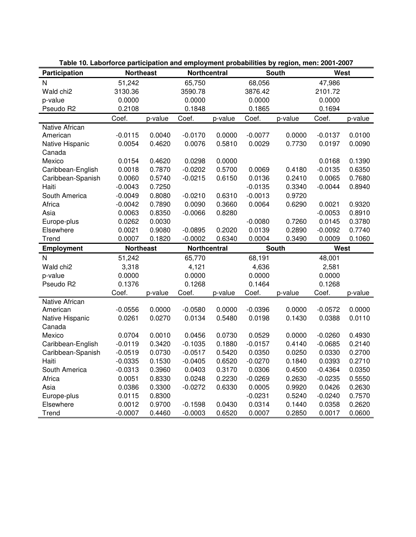|                   |                  |         |                     |         |           | Table 10. Laborforce participation and employment probabilities by region, men: 2001-2007 |             |         |
|-------------------|------------------|---------|---------------------|---------|-----------|-------------------------------------------------------------------------------------------|-------------|---------|
| Participation     | <b>Northeast</b> |         | <b>Northcentral</b> |         |           | <b>South</b>                                                                              | West        |         |
| N                 | 51,242           |         | 65,750              |         | 68,056    |                                                                                           | 47,986      |         |
| Wald chi2         | 3130.36          |         | 3590.78             |         | 3876.42   |                                                                                           | 2101.72     |         |
| p-value           | 0.0000           |         | 0.0000              |         | 0.0000    |                                                                                           | 0.0000      |         |
| Pseudo R2         | 0.2108           |         | 0.1848              |         | 0.1865    |                                                                                           | 0.1694      |         |
|                   | Coef.            | p-value | Coef.               | p-value | Coef.     | p-value                                                                                   | Coef.       | p-value |
| Native African    |                  |         |                     |         |           |                                                                                           |             |         |
| American          | $-0.0115$        | 0.0040  | $-0.0170$           | 0.0000  | $-0.0077$ | 0.0000                                                                                    | $-0.0137$   | 0.0100  |
| Native Hispanic   | 0.0054           | 0.4620  | 0.0076              | 0.5810  | 0.0029    | 0.7730                                                                                    | 0.0197      | 0.0090  |
| Canada            |                  |         |                     |         |           |                                                                                           |             |         |
| Mexico            | 0.0154           | 0.4620  | 0.0298              | 0.0000  |           |                                                                                           | 0.0168      | 0.1390  |
| Caribbean-English | 0.0018           | 0.7870  | $-0.0202$           | 0.5700  | 0.0069    | 0.4180                                                                                    | $-0.0135$   | 0.6350  |
| Caribbean-Spanish | 0.0060           | 0.5740  | $-0.0215$           | 0.6150  | 0.0136    | 0.2410                                                                                    | 0.0065      | 0.7680  |
| Haiti             | $-0.0043$        | 0.7250  |                     |         | $-0.0135$ | 0.3340                                                                                    | $-0.0044$   | 0.8940  |
| South America     | $-0.0049$        | 0.8080  | $-0.0210$           | 0.6310  | $-0.0013$ | 0.9720                                                                                    |             |         |
| Africa            | $-0.0042$        | 0.7890  | 0.0090              | 0.3660  | 0.0064    | 0.6290                                                                                    | 0.0021      | 0.9320  |
| Asia              | 0.0063           | 0.8350  | $-0.0066$           | 0.8280  |           |                                                                                           | $-0.0053$   | 0.8910  |
| Europe-plus       | 0.0262           | 0.0030  |                     |         | $-0.0080$ | 0.7260                                                                                    | 0.0145      | 0.3780  |
| Elsewhere         | 0.0021           | 0.9080  | $-0.0895$           | 0.2020  | 0.0139    | 0.2890                                                                                    | $-0.0092$   | 0.7740  |
| Trend             | 0.0007           | 0.1820  | $-0.0002$           | 0.6340  | 0.0004    | 0.3490                                                                                    | 0.0009      | 0.1060  |
| <b>Employment</b> | <b>Northeast</b> |         | Northcentral        |         |           | <b>South</b>                                                                              | <b>West</b> |         |
|                   |                  |         |                     |         |           |                                                                                           |             |         |
| N                 | 51,242           |         | 65,770              |         | 68,191    |                                                                                           | 48,001      |         |
| Wald chi2         | 3,318            |         | 4,121               |         | 4,636     |                                                                                           | 2,581       |         |
| p-value           | 0.0000           |         | 0.0000              |         | 0.0000    |                                                                                           | 0.0000      |         |
| Pseudo R2         | 0.1376           |         | 0.1268              |         | 0.1464    |                                                                                           | 0.1268      |         |
|                   | Coef.            | p-value | Coef.               | p-value | Coef.     | p-value                                                                                   | Coef.       | p-value |
| Native African    |                  |         |                     |         |           |                                                                                           |             |         |
| American          | $-0.0556$        | 0.0000  | $-0.0580$           | 0.0000  | $-0.0396$ | 0.0000                                                                                    | $-0.0572$   | 0.0000  |
| Native Hispanic   | 0.0261           | 0.0270  | 0.0134              | 0.5480  | 0.0198    | 0.1430                                                                                    | 0.0388      | 0.0110  |
| Canada            |                  |         |                     |         |           |                                                                                           |             |         |
| Mexico            | 0.0704           | 0.0010  | 0.0456              | 0.0730  | 0.0529    | 0.0000                                                                                    | $-0.0260$   | 0.4930  |
| Caribbean-English | $-0.0119$        | 0.3420  | $-0.1035$           | 0.1880  | $-0.0157$ | 0.4140                                                                                    | $-0.0685$   | 0.2140  |
| Caribbean-Spanish | $-0.0519$        | 0.0730  | $-0.0517$           | 0.5420  | 0.0350    | 0.0250                                                                                    | 0.0330      | 0.2700  |
| Haiti             | $-0.0335$        | 0.1530  | $-0.0405$           | 0.6520  | $-0.0270$ | 0.1840                                                                                    | 0.0393      | 0.2710  |
| South America     | $-0.0313$        | 0.3960  | 0.0403              | 0.3170  | 0.0306    | 0.4500                                                                                    | $-0.4364$   | 0.0350  |
| Africa            | 0.0051           | 0.8330  | 0.0248              | 0.2230  | $-0.0269$ | 0.2630                                                                                    | $-0.0235$   | 0.5550  |
| Asia              | 0.0386           | 0.3300  | $-0.0272$           | 0.6330  | 0.0005    | 0.9920                                                                                    | 0.0426      | 0.2630  |
| Europe-plus       | 0.0115           | 0.8300  |                     |         | $-0.0231$ | 0.5240                                                                                    | $-0.0240$   | 0.7570  |
| Elsewhere         | 0.0012           | 0.9700  | $-0.1598$           | 0.0430  | 0.0314    | 0.1440                                                                                    | 0.0358      | 0.2620  |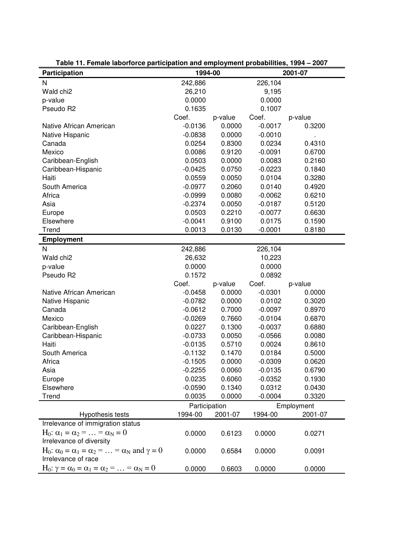| The conditional model of participation and conprojective probabilities, 100<br><b>Participation</b> | 1994-00       |         |           | 2001-07    |
|-----------------------------------------------------------------------------------------------------|---------------|---------|-----------|------------|
| N                                                                                                   | 242,886       |         | 226,104   |            |
| Wald chi <sub>2</sub>                                                                               | 26,210        |         | 9,195     |            |
| p-value                                                                                             | 0.0000        |         | 0.0000    |            |
| Pseudo R2                                                                                           | 0.1635        |         | 0.1007    |            |
|                                                                                                     | Coef.         | p-value | Coef.     | p-value    |
| Native African American                                                                             | $-0.0136$     | 0.0000  | $-0.0017$ | 0.3200     |
| Native Hispanic                                                                                     | $-0.0838$     | 0.0000  | $-0.0010$ |            |
| Canada                                                                                              | 0.0254        | 0.8300  | 0.0234    | 0.4310     |
| Mexico                                                                                              | 0.0086        | 0.9120  | $-0.0091$ | 0.6700     |
| Caribbean-English                                                                                   | 0.0503        | 0.0000  | 0.0083    | 0.2160     |
| Caribbean-Hispanic                                                                                  | $-0.0425$     | 0.0750  | $-0.0223$ | 0.1840     |
| Haiti                                                                                               | 0.0559        | 0.0050  | 0.0104    | 0.3280     |
| South America                                                                                       | $-0.0977$     | 0.2060  | 0.0140    | 0.4920     |
| Africa                                                                                              | $-0.0999$     | 0.0080  | $-0.0062$ | 0.6210     |
| Asia                                                                                                | $-0.2374$     | 0.0050  | $-0.0187$ | 0.5120     |
| Europe                                                                                              | 0.0503        | 0.2210  | $-0.0077$ | 0.6630     |
| Elsewhere                                                                                           | $-0.0041$     | 0.9100  | 0.0175    | 0.1590     |
| Trend                                                                                               | 0.0013        | 0.0130  | $-0.0001$ | 0.8180     |
| <b>Employment</b>                                                                                   |               |         |           |            |
| N                                                                                                   | 242,886       |         | 226,104   |            |
| Wald chi <sub>2</sub>                                                                               | 26,632        |         | 10,223    |            |
| p-value                                                                                             | 0.0000        |         | 0.0000    |            |
| Pseudo R2                                                                                           | 0.1572        |         | 0.0892    |            |
|                                                                                                     | Coef.         | p-value | Coef.     | p-value    |
| Native African American                                                                             | $-0.0458$     | 0.0000  | $-0.0301$ | 0.0000     |
| Native Hispanic                                                                                     | $-0.0782$     | 0.0000  | 0.0102    | 0.3020     |
| Canada                                                                                              | $-0.0612$     | 0.7000  | $-0.0097$ | 0.8970     |
| Mexico                                                                                              | $-0.0269$     | 0.7660  | $-0.0104$ | 0.6870     |
| Caribbean-English                                                                                   | 0.0227        | 0.1300  | $-0.0037$ | 0.6880     |
| Caribbean-Hispanic                                                                                  | $-0.0733$     | 0.0050  | $-0.0566$ | 0.0080     |
| Haiti                                                                                               | $-0.0135$     | 0.5710  | 0.0024    | 0.8610     |
| South America                                                                                       | $-0.1132$     | 0.1470  | 0.0184    | 0.5000     |
| Africa                                                                                              | $-0.1505$     | 0.0000  | $-0.0309$ | 0.0620     |
| Asia                                                                                                | $-0.2255$     | 0.0060  | $-0.0135$ | 0.6790     |
| Europe                                                                                              | 0.0235        | 0.6060  | $-0.0352$ | 0.1930     |
| Elsewhere                                                                                           | $-0.0590$     | 0.1340  | 0.0312    | 0.0430     |
| Trend                                                                                               | 0.0035        | 0.0000  | $-0.0004$ | 0.3320     |
|                                                                                                     | Participation |         |           | Employment |
| Hypothesis tests                                                                                    | 1994-00       | 2001-07 | 1994-00   | 2001-07    |
| Irrelevance of immigration status                                                                   |               |         |           |            |
| H <sub>0</sub> : $\alpha_1 = \alpha_2 =  = \alpha_N = 0$                                            | 0.0000        | 0.6123  | 0.0000    | 0.0271     |
| Irrelevance of diversity                                                                            |               |         |           |            |
| H <sub>0</sub> : $\alpha_0 = \alpha_1 = \alpha_2 = \ldots = \alpha_N$ and $\gamma = 0$              | 0.0000        | 0.6584  | 0.0000    | 0.0091     |
| Irrelevance of race                                                                                 |               |         |           |            |
| H <sub>0</sub> : $\gamma = \alpha_0 = \alpha_1 = \alpha_2 = \ldots = \alpha_N = 0$                  | 0.0000        | 0.6603  | 0.0000    | 0.0000     |

**Table 11. Female laborforce participation and employment probabilities, 1994 – 2007**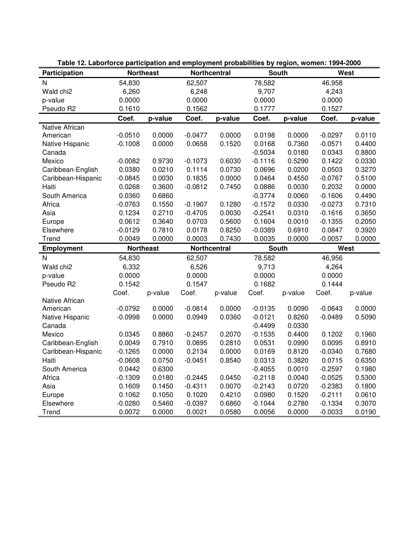| <b>Participation</b> | <b>Northeast</b> |         | ,,,,,,,,<br>Northcentral |         | <b>South</b> |         |             | West    |
|----------------------|------------------|---------|--------------------------|---------|--------------|---------|-------------|---------|
| N                    | 54,830           |         | 62,507                   |         | 78,582       |         | 46,958      |         |
| Wald chi2            | 6,260            |         | 6,248                    |         | 9,707        |         | 4,243       |         |
| p-value              | 0.0000           |         | 0.0000                   |         | 0.0000       |         | 0.0000      |         |
| Pseudo R2            | 0.1610           |         | 0.1562                   |         | 0.1777       |         | 0.1527      |         |
|                      | Coef.            | p-value | Coef.                    | p-value | Coef.        | p-value | Coef.       | p-value |
| Native African       |                  |         |                          |         |              |         |             |         |
| American             | $-0.0510$        | 0.0000  | $-0.0477$                | 0.0000  | 0.0198       | 0.0000  | $-0.0297$   | 0.0110  |
| Native Hispanic      | $-0.1008$        | 0.0000  | 0.0658                   | 0.1520  | 0.0168       | 0.7360  | $-0.0571$   | 0.4400  |
| Canada               |                  |         |                          |         | $-0.5034$    | 0.0180  | 0.0343      | 0.8800  |
| Mexico               | $-0.0082$        | 0.9730  | $-0.1073$                | 0.6030  | $-0.1116$    | 0.5290  | 0.1422      | 0.0330  |
| Caribbean-English    | 0.0380           | 0.0210  | 0.1114                   | 0.0730  | 0.0696       | 0.0200  | 0.0503      | 0.3270  |
| Caribbean-Hispanic   | $-0.0845$        | 0.0030  | 0.1835                   | 0.0000  | 0.0464       | 0.4550  | $-0.0767$   | 0.5100  |
| Haiti                | 0.0268           | 0.3600  | $-0.0812$                | 0.7450  | 0.0886       | 0.0030  | 0.2032      | 0.0000  |
| South America        | 0.0360           | 0.6860  |                          |         | $-0.3774$    | 0.0060  | $-0.1606$   | 0.4490  |
| Africa               | $-0.0763$        | 0.1550  | $-0.1907$                | 0.1280  | $-0.1572$    | 0.0330  | $-0.0273$   | 0.7310  |
| Asia                 | 0.1234           | 0.2710  | $-0.4705$                | 0.0030  | $-0.2541$    | 0.0310  | $-0.1616$   | 0.3650  |
| Europe               | 0.0612           | 0.3640  | 0.0703                   | 0.5600  | 0.1604       | 0.0010  | $-0.1355$   | 0.2050  |
| Elsewhere            | $-0.0129$        | 0.7810  | 0.0178                   | 0.8250  | $-0.0389$    | 0.6910  | 0.0847      | 0.3920  |
| Trend                | 0.0049           | 0.0000  | 0.0003                   | 0.7430  | 0.0035       | 0.0000  | $-0.0057$   | 0.0000  |
| <b>Employment</b>    | <b>Northeast</b> |         | Northcentral             |         | <b>South</b> |         | <b>West</b> |         |
| N                    | 54,830           |         | 62,507                   |         | 78,582       |         | 46,956      |         |
| Wald chi2            | 6,332            |         | 6,526                    |         | 9,713        |         | 4,264       |         |
| p-value              | 0.0000           |         | 0.0000                   |         | 0.0000       |         | 0.0000      |         |
| Pseudo R2            | 0.1542           |         | 0.1547                   |         | 0.1682       |         | 0.1444      |         |
|                      | Coef.            | p-value | Coef.                    | p-value | Coef.        | p-value | Coef.       | p-value |
| Native African       |                  |         |                          |         |              |         |             |         |
| American             | $-0.0792$        | 0.0000  | $-0.0814$                | 0.0000  | $-0.0135$    | 0.0090  | $-0.0643$   | 0.0000  |
| Native Hispanic      | $-0.0998$        | 0.0000  | 0.0949                   | 0.0360  | $-0.0121$    | 0.8260  | $-0.0489$   | 0.5090  |
| Canada               |                  |         |                          |         | $-0.4499$    | 0.0330  |             |         |
| Mexico               | 0.0345           | 0.8860  | $-0.2457$                | 0.2070  | $-0.1535$    | 0.4400  | 0.1202      | 0.1960  |
| Caribbean-English    | 0.0049           | 0.7910  | 0.0895                   | 0.2810  | 0.0531       | 0.0990  | 0.0095      | 0.8910  |
| Caribbean-Hispanic   | $-0.1265$        | 0.0000  | 0.2134                   | 0.0000  | 0.0169       | 0.8120  | $-0.0340$   | 0.7680  |
| Haiti                | $-0.0608$        | 0.0750  | $-0.0451$                | 0.8540  | 0.0313       | 0.3820  | 0.0715      | 0.6350  |
| South America        | 0.0442           | 0.6300  |                          |         | $-0.4055$    | 0.0010  | $-0.2597$   | 0.1980  |
| Africa               | $-0.1309$        | 0.0180  | $-0.2445$                | 0.0450  | $-0.2118$    | 0.0040  | $-0.0525$   | 0.5300  |
| Asia                 | 0.1609           | 0.1450  | $-0.4311$                | 0.0070  | $-0.2143$    | 0.0720  | $-0.2383$   | 0.1800  |
| Europe               | 0.1062           | 0.1050  | 0.1020                   | 0.4210  | 0.0980       | 0.1520  | $-0.2111$   | 0.0610  |
| Elsewhere            | $-0.0280$        | 0.5460  | $-0.0397$                | 0.6860  | $-0.1044$    | 0.2780  | $-0.1334$   | 0.3070  |
| Trend                | 0.0072           | 0.0000  | 0.0021                   | 0.0580  | 0.0056       | 0.0000  | $-0.0033$   | 0.0190  |

**Table 12. Laborforce participation and employment probabilities by region, women: 1994-2000**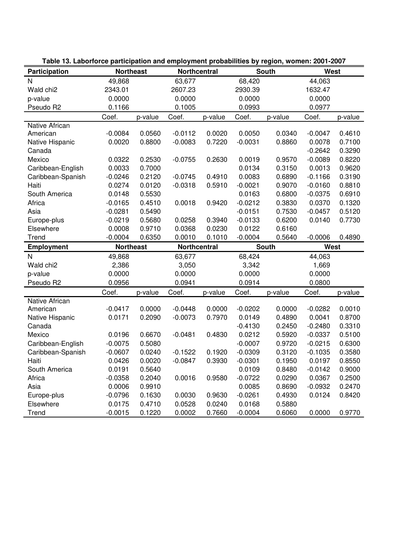| Participation         | <b>Northeast</b>    |                  | Northcentral        |                  |                     | <b>South</b>     | West      |         |
|-----------------------|---------------------|------------------|---------------------|------------------|---------------------|------------------|-----------|---------|
| N                     | 49,868              |                  | 63,677              |                  | 68,420              |                  | 44,063    |         |
| Wald chi2             | 2343.01             |                  | 2607.23             |                  | 2930.39             |                  | 1632.47   |         |
| p-value               | 0.0000              |                  | 0.0000              |                  | 0.0000              |                  | 0.0000    |         |
| Pseudo R2             | 0.1166              |                  | 0.1005              |                  | 0.0993              |                  | 0.0977    |         |
|                       | Coef.               | p-value          | Coef.               | p-value          | Coef.               | p-value          | Coef.     | p-value |
| Native African        |                     |                  |                     |                  |                     |                  |           |         |
| American              | $-0.0084$           | 0.0560           | $-0.0112$           | 0.0020           | 0.0050              | 0.0340           | $-0.0047$ | 0.4610  |
| Native Hispanic       | 0.0020              | 0.8800           | $-0.0083$           | 0.7220           | $-0.0031$           | 0.8860           | 0.0078    | 0.7100  |
| Canada                |                     |                  |                     |                  |                     |                  | $-0.2642$ | 0.3290  |
| Mexico                | 0.0322              | 0.2530           | $-0.0755$           | 0.2630           | 0.0019              | 0.9570           | $-0.0089$ | 0.8220  |
| Caribbean-English     | 0.0033              | 0.7000           |                     |                  | 0.0134              | 0.3150           | 0.0013    | 0.9620  |
| Caribbean-Spanish     | $-0.0246$           | 0.2120           | $-0.0745$           | 0.4910           | 0.0083              | 0.6890           | $-0.1166$ | 0.3190  |
| Haiti                 | 0.0274              | 0.0120           | $-0.0318$           | 0.5910           | $-0.0021$           | 0.9070           | $-0.0160$ | 0.8810  |
| South America         | 0.0148              | 0.5530           |                     |                  | 0.0163              | 0.6800           | $-0.0375$ | 0.6910  |
| Africa                | $-0.0165$           | 0.4510           | 0.0018              | 0.9420           | $-0.0212$           | 0.3830           | 0.0370    | 0.1320  |
| Asia                  | $-0.0281$           | 0.5490           |                     |                  | $-0.0151$           | 0.7530           | $-0.0457$ | 0.5120  |
| Europe-plus           | $-0.0219$           | 0.5680           | 0.0258              | 0.3940           | $-0.0133$           | 0.6200           | 0.0140    | 0.7730  |
| Elsewhere             | 0.0008              | 0.9710           | 0.0368              | 0.0230           | 0.0122              | 0.6160           |           |         |
| Trend                 | $-0.0004$           | 0.6350           | 0.0010              | 0.1010           | $-0.0004$           | 0.5640           | $-0.0006$ | 0.4890  |
|                       |                     |                  |                     |                  |                     |                  |           |         |
| <b>Employment</b>     | <b>Northeast</b>    |                  | <b>Northcentral</b> |                  |                     | <b>South</b>     | West      |         |
| N                     | 49,868              |                  | 63,677              |                  | 68,424              |                  | 44,063    |         |
| Wald chi2             | 2,386               |                  | 3,050               |                  | 3,342               |                  | 1,669     |         |
| p-value               | 0.0000              |                  | 0.0000              |                  | 0.0000              |                  | 0.0000    |         |
| Pseudo R2             | 0.0956              |                  | 0.0941              |                  | 0.0914              |                  | 0.0800    |         |
|                       | Coef.               | p-value          | Coef.               | p-value          | Coef.               | p-value          | Coef.     | p-value |
| <b>Native African</b> |                     |                  |                     |                  |                     |                  |           |         |
| American              | $-0.0417$           | 0.0000           | $-0.0448$           | 0.0000           | $-0.0202$           | 0.0000           | $-0.0282$ | 0.0010  |
| Native Hispanic       | 0.0171              | 0.2090           | $-0.0073$           | 0.7970           | 0.0149              | 0.4890           | 0.0041    | 0.8700  |
| Canada                |                     |                  |                     |                  | $-0.4130$           | 0.2450           | $-0.2480$ | 0.3310  |
| Mexico                | 0.0196              | 0.6670           | $-0.0481$           | 0.4830           | 0.0212              | 0.5920           | $-0.0337$ | 0.5100  |
| Caribbean-English     | $-0.0075$           | 0.5080           |                     |                  | $-0.0007$           | 0.9720           | $-0.0215$ | 0.6300  |
| Caribbean-Spanish     | $-0.0607$           | 0.0240           | $-0.1522$           | 0.1920           | $-0.0309$           | 0.3120           | $-0.1035$ | 0.3580  |
| Haiti                 | 0.0426              | 0.0020           | $-0.0847$           | 0.3930           | $-0.0301$           | 0.1950           | 0.0197    | 0.8550  |
| South America         | 0.0191              | 0.5640           |                     |                  | 0.0109              | 0.8480           | $-0.0142$ | 0.9000  |
| Africa                | $-0.0358$           | 0.2040           | 0.0016              | 0.9580           | $-0.0722$           | 0.0290           | 0.0367    | 0.2500  |
| Asia                  | 0.0006              | 0.9910           |                     |                  | 0.0085              | 0.8690           | $-0.0932$ | 0.2470  |
| Europe-plus           | $-0.0796$           | 0.1630           | 0.0030              | 0.9630           | $-0.0261$           | 0.4930           | 0.0124    | 0.8420  |
| Elsewhere<br>Trend    | 0.0175<br>$-0.0015$ | 0.4710<br>0.1220 | 0.0528<br>0.0002    | 0.0240<br>0.7660 | 0.0168<br>$-0.0004$ | 0.5880<br>0.6060 | 0.0000    | 0.9770  |

**Table 13. Laborforce participation and employment probabilities by region, women: 2001-2007**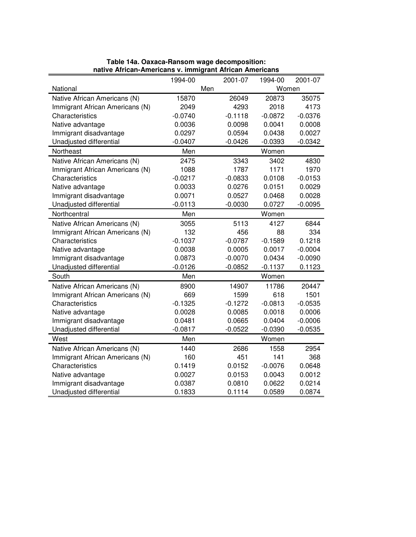|                                 | 1994-00   | 2001-07   | 1994-00   | 2001-07   |
|---------------------------------|-----------|-----------|-----------|-----------|
| National                        |           | Men       | Women     |           |
| Native African Americans (N)    | 15870     | 26049     | 20873     | 35075     |
| Immigrant African Americans (N) | 2049      | 4293      | 2018      | 4173      |
| Characteristics                 | $-0.0740$ | $-0.1118$ | $-0.0872$ | $-0.0376$ |
| Native advantage                | 0.0036    | 0.0098    | 0.0041    | 0.0008    |
| Immigrant disadvantage          | 0.0297    | 0.0594    | 0.0438    | 0.0027    |
| Unadjusted differential         | $-0.0407$ | $-0.0426$ | $-0.0393$ | $-0.0342$ |
| Northeast                       | Men       |           | Women     |           |
| Native African Americans (N)    | 2475      | 3343      | 3402      | 4830      |
| Immigrant African Americans (N) | 1088      | 1787      | 1171      | 1970      |
| Characteristics                 | $-0.0217$ | $-0.0833$ | 0.0108    | $-0.0153$ |
| Native advantage                | 0.0033    | 0.0276    | 0.0151    | 0.0029    |
| Immigrant disadvantage          | 0.0071    | 0.0527    | 0.0468    | 0.0028    |
| Unadjusted differential         | $-0.0113$ | $-0.0030$ | 0.0727    | $-0.0095$ |
| Northcentral                    | Men       |           | Women     |           |
| Native African Americans (N)    | 3055      | 5113      | 4127      | 6844      |
| Immigrant African Americans (N) | 132       | 456       | 88        | 334       |
| Characteristics                 | $-0.1037$ | $-0.0787$ | $-0.1589$ | 0.1218    |
| Native advantage                | 0.0038    | 0.0005    | 0.0017    | $-0.0004$ |
| Immigrant disadvantage          | 0.0873    | $-0.0070$ | 0.0434    | $-0.0090$ |
| Unadjusted differential         | $-0.0126$ | $-0.0852$ | $-0.1137$ | 0.1123    |
| South                           | Men       |           | Women     |           |
| Native African Americans (N)    | 8900      | 14907     | 11786     | 20447     |
| Immigrant African Americans (N) | 669       | 1599      | 618       | 1501      |
| Characteristics                 | $-0.1325$ | $-0.1272$ | $-0.0813$ | $-0.0535$ |
| Native advantage                | 0.0028    | 0.0085    | 0.0018    | 0.0006    |
| Immigrant disadvantage          | 0.0481    | 0.0665    | 0.0404    | $-0.0006$ |
| Unadjusted differential         | $-0.0817$ | $-0.0522$ | $-0.0390$ | $-0.0535$ |
| West                            | Men       |           | Women     |           |
| Native African Americans (N)    | 1440      | 2686      | 1558      | 2954      |
| Immigrant African Americans (N) | 160       | 451       | 141       | 368       |
| Characteristics                 | 0.1419    | 0.0152    | $-0.0076$ | 0.0648    |
| Native advantage                | 0.0027    | 0.0153    | 0.0043    | 0.0012    |
| Immigrant disadvantage          | 0.0387    | 0.0810    | 0.0622    | 0.0214    |
| Unadjusted differential         | 0.1833    | 0.1114    | 0.0589    | 0.0874    |

**Table 14a. Oaxaca-Ransom wage decomposition: native African-Americans v. immigrant African Americans**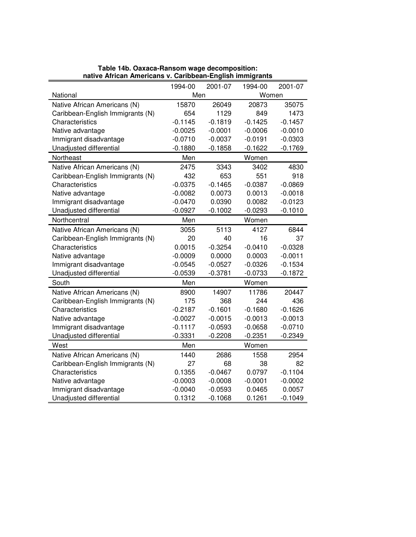|                                  | 1994-00   | 2001-07   | 1994-00   | 2001-07   |
|----------------------------------|-----------|-----------|-----------|-----------|
| National                         | Men       |           | Women     |           |
| Native African Americans (N)     | 15870     | 26049     | 20873     | 35075     |
| Caribbean-English Immigrants (N) | 654       | 1129      | 849       | 1473      |
| Characteristics                  | $-0.1145$ | $-0.1819$ | $-0.1425$ | $-0.1457$ |
| Native advantage                 | $-0.0025$ | $-0.0001$ | $-0.0006$ | $-0.0010$ |
| Immigrant disadvantage           | $-0.0710$ | $-0.0037$ | $-0.0191$ | $-0.0303$ |
| Unadjusted differential          | $-0.1880$ | $-0.1858$ | $-0.1622$ | $-0.1769$ |
| Northeast                        | Men       |           | Women     |           |
| Native African Americans (N)     | 2475      | 3343      | 3402      | 4830      |
| Caribbean-English Immigrants (N) | 432       | 653       | 551       | 918       |
| Characteristics                  | $-0.0375$ | $-0.1465$ | $-0.0387$ | $-0.0869$ |
| Native advantage                 | $-0.0082$ | 0.0073    | 0.0013    | $-0.0018$ |
| Immigrant disadvantage           | $-0.0470$ | 0.0390    | 0.0082    | $-0.0123$ |
| Unadjusted differential          | $-0.0927$ | $-0.1002$ | $-0.0293$ | $-0.1010$ |
| Northcentral                     | Men       |           | Women     |           |
| Native African Americans (N)     | 3055      | 5113      | 4127      | 6844      |
| Caribbean-English Immigrants (N) | 20        | 40        | 16        | 37        |
| Characteristics                  | 0.0015    | $-0.3254$ | $-0.0410$ | $-0.0328$ |
| Native advantage                 | $-0.0009$ | 0.0000    | 0.0003    | $-0.0011$ |
| Immigrant disadvantage           | $-0.0545$ | $-0.0527$ | $-0.0326$ | $-0.1534$ |
| Unadjusted differential          | $-0.0539$ | $-0.3781$ | $-0.0733$ | $-0.1872$ |
| South                            | Men       |           | Women     |           |
| Native African Americans (N)     | 8900      | 14907     | 11786     | 20447     |
| Caribbean-English Immigrants (N) | 175       | 368       | 244       | 436       |
| Characteristics                  | $-0.2187$ | $-0.1601$ | $-0.1680$ | $-0.1626$ |
| Native advantage                 | $-0.0027$ | $-0.0015$ | $-0.0013$ | $-0.0013$ |
| Immigrant disadvantage           | $-0.1117$ | $-0.0593$ | $-0.0658$ | $-0.0710$ |
| Unadjusted differential          | $-0.3331$ | $-0.2208$ | $-0.2351$ | $-0.2349$ |
| West                             | Men       |           | Women     |           |
| Native African Americans (N)     | 1440      | 2686      | 1558      | 2954      |
| Caribbean-English Immigrants (N) | 27        | 68        | 38        | 82        |
| Characteristics                  | 0.1355    | $-0.0467$ | 0.0797    | $-0.1104$ |
| Native advantage                 | $-0.0003$ | $-0.0008$ | $-0.0001$ | $-0.0002$ |
| Immigrant disadvantage           | $-0.0040$ | $-0.0593$ | 0.0465    | 0.0057    |
| Unadjusted differential          | 0.1312    | $-0.1068$ | 0.1261    | $-0.1049$ |

**Table 14b. Oaxaca-Ransom wage decomposition: native African Americans v. Caribbean-English immigrants**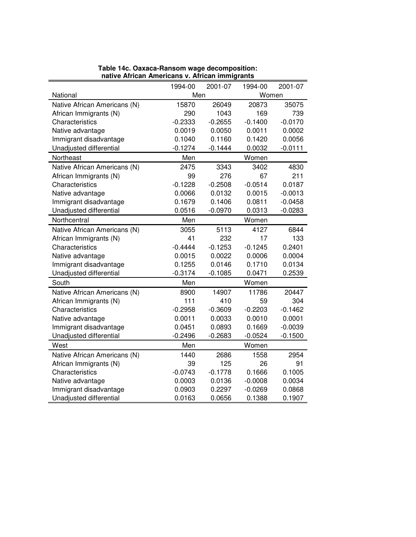|                              | 1994-00   | 2001-07   | 1994-00   | 2001-07   |
|------------------------------|-----------|-----------|-----------|-----------|
| National                     | Men       |           | Women     |           |
| Native African Americans (N) | 15870     | 26049     | 20873     | 35075     |
| African Immigrants (N)       | 290       | 1043      | 169       | 739       |
| Characteristics              | $-0.2333$ | $-0.2655$ | $-0.1400$ | $-0.0170$ |
| Native advantage             | 0.0019    | 0.0050    | 0.0011    | 0.0002    |
| Immigrant disadvantage       | 0.1040    | 0.1160    | 0.1420    | 0.0056    |
| Unadjusted differential      | $-0.1274$ | $-0.1444$ | 0.0032    | $-0.0111$ |
| Northeast                    | Men       |           | Women     |           |
| Native African Americans (N) | 2475      | 3343      | 3402      | 4830      |
| African Immigrants (N)       | 99        | 276       | 67        | 211       |
| Characteristics              | $-0.1228$ | $-0.2508$ | $-0.0514$ | 0.0187    |
| Native advantage             | 0.0066    | 0.0132    | 0.0015    | $-0.0013$ |
| Immigrant disadvantage       | 0.1679    | 0.1406    | 0.0811    | $-0.0458$ |
| Unadjusted differential      | 0.0516    | $-0.0970$ | 0.0313    | $-0.0283$ |
| Northcentral                 | Men       |           | Women     |           |
| Native African Americans (N) | 3055      | 5113      | 4127      | 6844      |
| African Immigrants (N)       | 41        | 232       | 17        | 133       |
| Characteristics              | $-0.4444$ | $-0.1253$ | $-0.1245$ | 0.2401    |
| Native advantage             | 0.0015    | 0.0022    | 0.0006    | 0.0004    |
| Immigrant disadvantage       | 0.1255    | 0.0146    | 0.1710    | 0.0134    |
| Unadjusted differential      | $-0.3174$ | $-0.1085$ | 0.0471    | 0.2539    |
| South                        | Men       |           | Women     |           |
| Native African Americans (N) | 8900      | 14907     | 11786     | 20447     |
| African Immigrants (N)       | 111       | 410       | 59        | 304       |
| Characteristics              | $-0.2958$ | $-0.3609$ | $-0.2203$ | $-0.1462$ |
| Native advantage             | 0.0011    | 0.0033    | 0.0010    | 0.0001    |
| Immigrant disadvantage       | 0.0451    | 0.0893    | 0.1669    | $-0.0039$ |
| Unadjusted differential      | $-0.2496$ | $-0.2683$ | $-0.0524$ | $-0.1500$ |
| West                         | Men       |           | Women     |           |
| Native African Americans (N) | 1440      | 2686      | 1558      | 2954      |
| African Immigrants (N)       | 39        | 125       | 26        | 91        |
| Characteristics              | $-0.0743$ | $-0.1778$ | 0.1666    | 0.1005    |
| Native advantage             | 0.0003    | 0.0136    | $-0.0008$ | 0.0034    |
| Immigrant disadvantage       | 0.0903    | 0.2297    | $-0.0269$ | 0.0868    |
| Unadjusted differential      | 0.0163    | 0.0656    | 0.1388    | 0.1907    |

**Table 14c. Oaxaca-Ransom wage decomposition: native African Americans v. African immigrants**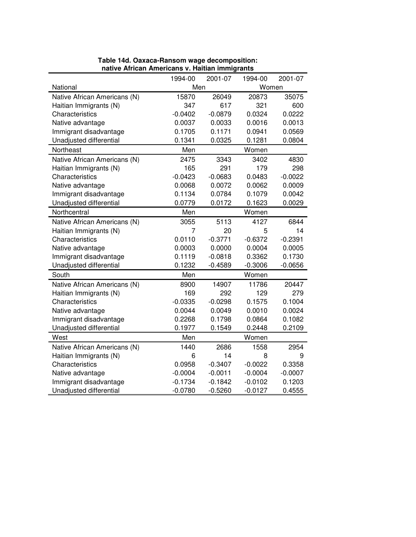| native Antean Americans v. Haitian miningrants | 1994-00   | 2001-07   | 1994-00   | 2001-07   |
|------------------------------------------------|-----------|-----------|-----------|-----------|
| National                                       | Men       |           | Women     |           |
| Native African Americans (N)                   | 15870     | 26049     | 20873     | 35075     |
| Haitian Immigrants (N)                         | 347       | 617       | 321       | 600       |
| Characteristics                                | $-0.0402$ | $-0.0879$ | 0.0324    | 0.0222    |
| Native advantage                               | 0.0037    | 0.0033    | 0.0016    | 0.0013    |
| Immigrant disadvantage                         | 0.1705    | 0.1171    | 0.0941    | 0.0569    |
| Unadjusted differential                        | 0.1341    | 0.0325    | 0.1281    | 0.0804    |
| Northeast                                      | Men       |           | Women     |           |
| Native African Americans (N)                   | 2475      | 3343      | 3402      | 4830      |
| Haitian Immigrants (N)                         | 165       | 291       | 179       | 298       |
| Characteristics                                | $-0.0423$ | $-0.0683$ | 0.0483    | $-0.0022$ |
| Native advantage                               | 0.0068    | 0.0072    | 0.0062    | 0.0009    |
| Immigrant disadvantage                         | 0.1134    | 0.0784    | 0.1079    | 0.0042    |
| Unadjusted differential                        | 0.0779    | 0.0172    | 0.1623    | 0.0029    |
| Northcentral                                   | Men       |           | Women     |           |
| Native African Americans (N)                   | 3055      | 5113      | 4127      | 6844      |
| Haitian Immigrants (N)                         | 7         | 20        | 5         | 14        |
| Characteristics                                | 0.0110    | $-0.3771$ | $-0.6372$ | $-0.2391$ |
| Native advantage                               | 0.0003    | 0.0000    | 0.0004    | 0.0005    |
| Immigrant disadvantage                         | 0.1119    | $-0.0818$ | 0.3362    | 0.1730    |
| Unadjusted differential                        | 0.1232    | $-0.4589$ | $-0.3006$ | $-0.0656$ |
| South                                          | Men       |           | Women     |           |
| Native African Americans (N)                   | 8900      | 14907     | 11786     | 20447     |
| Haitian Immigrants (N)                         | 169       | 292       | 129       | 279       |
| Characteristics                                | $-0.0335$ | $-0.0298$ | 0.1575    | 0.1004    |
| Native advantage                               | 0.0044    | 0.0049    | 0.0010    | 0.0024    |
| Immigrant disadvantage                         | 0.2268    | 0.1798    | 0.0864    | 0.1082    |
| Unadjusted differential                        | 0.1977    | 0.1549    | 0.2448    | 0.2109    |
| West                                           | Men       |           | Women     |           |
| Native African Americans (N)                   | 1440      | 2686      | 1558      | 2954      |
| Haitian Immigrants (N)                         | 6         | 14        | 8         | 9         |
| Characteristics                                | 0.0958    | $-0.3407$ | $-0.0022$ | 0.3358    |
| Native advantage                               | $-0.0004$ | $-0.0011$ | $-0.0004$ | $-0.0007$ |
| Immigrant disadvantage                         | $-0.1734$ | $-0.1842$ | $-0.0102$ | 0.1203    |
| Unadjusted differential                        | $-0.0780$ | $-0.5260$ | $-0.0127$ | 0.4555    |

**Table 14d. Oaxaca-Ransom wage decomposition: native African Americans v. Haitian immigrants**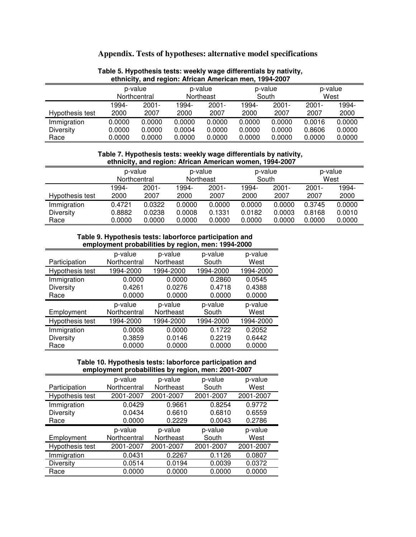# **Appendix. Tests of hypotheses: alternative model specifications**

|                  |        | ethnicity, and region: African American men, 1994-2007 |        |           |        |          |          |         |
|------------------|--------|--------------------------------------------------------|--------|-----------|--------|----------|----------|---------|
|                  |        | p-value                                                |        | p-value   |        | p-value  |          | p-value |
|                  |        | Northcentral                                           |        | Northeast |        | South    |          | West    |
|                  | 1994-  | $2001 -$                                               | 1994-  | $2001 -$  | 1994-  | $2001 -$ | $2001 -$ | 1994-   |
| Hypothesis test  | 2000   | 2007                                                   | 2000   | 2007      | 2000   | 2007     | 2007     | 2000    |
| Immigration      | 0.0000 | 0.0000                                                 | 0.0000 | 0.0000    | 0.0000 | 0.0000   | 0.0016   | 0.0000  |
| <b>Diversity</b> | 0.0000 | 0.0000                                                 | 0.0004 | 0.0000    | 0.0000 | 0.0000   | 0.8606   | 0.0000  |
| Race             | 0.0000 | 0.0000                                                 | 0.0000 | 0.0000    | 0.0000 | 0.0000   | 0.0000   | 0.0000  |

 **Table 5. Hypothesis tests: weekly wage differentials by nativity,** 

 **Table 7. Hypothesis tests: weekly wage differentials by nativity, ethnicity, and region: African American women, 1994-2007** 

|                  | p-value      |          | p-value   |          | p-value |          | p-value  |        |
|------------------|--------------|----------|-----------|----------|---------|----------|----------|--------|
|                  | Northcentral |          | Northeast |          | South   |          |          | West   |
|                  | 1994-        | $2001 -$ | 1994-     | $2001 -$ | 1994-   | $2001 -$ | $2001 -$ | 1994-  |
| Hypothesis test  | 2000         | 2007     | 2000      | 2007     | 2000    | 2007     | 2007     | 2000   |
| Immigration      | 0.4721       | 0.0322   | 0.0000    | 0.0000   | 0.0000  | 0.0000   | 0.3745   | 0.0000 |
| <b>Diversity</b> | 0.8882       | 0.0238   | 0.0008    | 0.1331   | 0.0182  | 0.0003   | 0.8168   | 0.0010 |
| Race             | 0.0000       | 0.0000   | 0.0000    | 0.0000   | 0.0000  | 0.0000   | 0.0000   | 0.0000 |

#### **Table 9. Hypothesis tests: laborforce participation and employment probabilities by region, men: 1994-2000**

| Participation    | p-value<br>Northcentral | p-value<br>Northeast | p-value<br>South | p-value<br>West |
|------------------|-------------------------|----------------------|------------------|-----------------|
| Hypothesis test  | 1994-2000               | 1994-2000            | 1994-2000        | 1994-2000       |
| Immigration      | 0.0000                  | 0.0000               | 0.2860           | 0.0545          |
| <b>Diversity</b> | 0.4261                  | 0.0276               | 0.4718           | 0.4388          |
| Race             | 0.0000                  | 0.0000               | 0.0000           | 0.0000          |
|                  |                         |                      |                  |                 |
|                  | p-value                 | p-value              | p-value          | p-value         |
| Employment       | Northcentral            | Northeast            | South            | West            |
| Hypothesis test  | 1994-2000               | 1994-2000            | 1994-2000        | 1994-2000       |
| Immigration      | 0.0008                  | 0.0000               | 0.1722           | 0.2052          |
| <b>Diversity</b> | 0.3859                  | 0.0146               | 0.2219           | 0.6442          |

#### **Table 10. Hypothesis tests: laborforce participation and employment probabilities by region, men: 2001-2007**

| Participation                           | p-value<br>Northcentral    | p-value<br>Northeast       | p-value<br>South           | p-value<br>West            |  |  |
|-----------------------------------------|----------------------------|----------------------------|----------------------------|----------------------------|--|--|
| Hypothesis test                         | 2001-2007                  | 2001-2007                  | 2001-2007                  | 2001-2007                  |  |  |
| Immigration<br><b>Diversity</b><br>Race | 0.0429<br>0.0434<br>0.0000 | 0.9661<br>0.6610<br>0.2229 | 0.8254<br>0.6810<br>0.0043 | 0.9772<br>0.6559<br>0.2786 |  |  |
|                                         |                            |                            |                            |                            |  |  |
| Employment                              | p-value<br>Northcentral    | p-value<br>Northeast       | p-value<br>South           | p-value<br>West            |  |  |
| Hypothesis test                         | 2001-2007                  | 2001-2007                  | 2001-2007                  | 2001-2007                  |  |  |
| Immigration                             | 0.0431                     | 0.2267                     | 0.1126                     | 0.0807                     |  |  |
| <b>Diversity</b>                        | 0.0514                     | 0.0194                     | 0.0039                     | 0.0372                     |  |  |